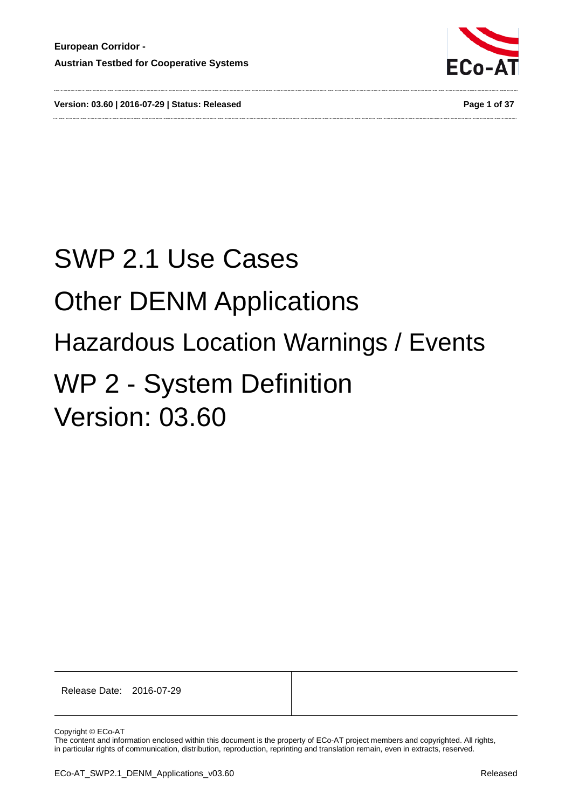

**Version: 03.60 | 2016-07-29 | Status: Released Page 1 of 37**

# SWP 2.1 Use Cases Other DENM Applications Hazardous Location Warnings / Events WP 2 - System Definition Version: 03.60

Release Date: 2016-07-29

Copyright © ECo-AT

The content and information enclosed within this document is the property of ECo-AT project members and copyrighted. All rights, in particular rights of communication, distribution, reproduction, reprinting and translation remain, even in extracts, reserved.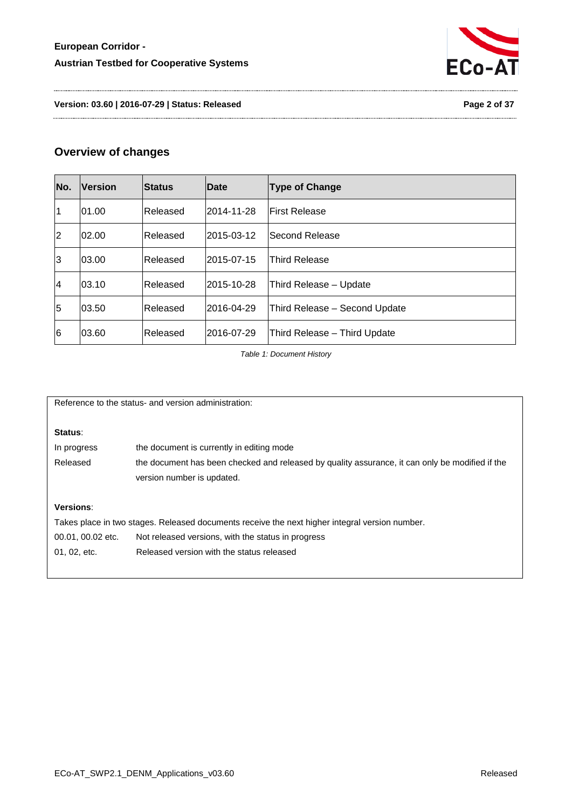

**Version: 03.60 | 2016-07-29 | Status: Released Page 2 of 37**

# **Overview of changes**

| No.            | <b>Version</b> | <b>Status</b> | <b>Date</b> | <b>Type of Change</b>         |
|----------------|----------------|---------------|-------------|-------------------------------|
| $\vert$ 1      | 01.00          | lReleased     | 2014-11-28  | <b>First Release</b>          |
| 2              | 02.00          | Released      | 2015-03-12  | lSecond Release               |
| 3              | 03.00          | Released      | l2015-07-15 | <b>Third Release</b>          |
| $\vert 4$      | 03.10          | Released      | l2015-10-28 | Third Release - Update        |
| $\overline{5}$ | 03.50          | Released      | 2016-04-29  | Third Release - Second Update |
| 6              | 03.60          | lReleased     | 2016-07-29  | Third Release - Third Update  |

*Table 1: Document History*

<span id="page-1-0"></span>Reference to the status- and version administration:

#### **Status**:

| In progress | the document is currently in editing mode                                                       |
|-------------|-------------------------------------------------------------------------------------------------|
| Released    | the document has been checked and released by quality assurance, it can only be modified if the |
|             | version number is updated.                                                                      |

#### **Versions**:

Takes place in two stages. Released documents receive the next higher integral version number. 00.01, 00.02 etc. Not released versions, with the status in progress 01, 02, etc. Released version with the status released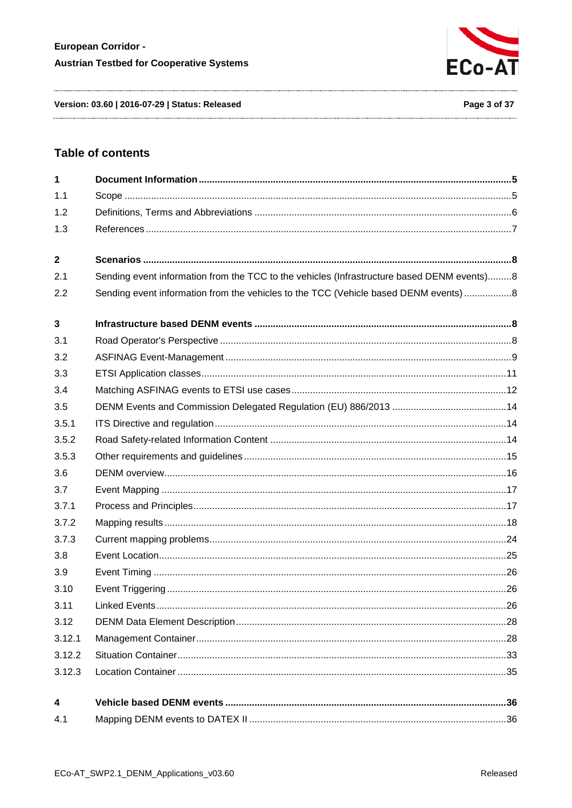

Version: 03.60 | 2016-07-29 | Status: Released

# **Table of contents**

| $\mathbf{1}$            |                                                                                            |  |
|-------------------------|--------------------------------------------------------------------------------------------|--|
| 1.1                     |                                                                                            |  |
| 1.2                     |                                                                                            |  |
| 1.3                     |                                                                                            |  |
| $\mathbf{2}$            |                                                                                            |  |
| 2.1                     | Sending event information from the TCC to the vehicles (Infrastructure based DENM events)8 |  |
| 2.2                     | Sending event information from the vehicles to the TCC (Vehicle based DENM events) 8       |  |
| $\mathbf{3}$            |                                                                                            |  |
| 3.1                     |                                                                                            |  |
| 3.2                     |                                                                                            |  |
| 3.3                     |                                                                                            |  |
| 3.4                     |                                                                                            |  |
| 3.5                     |                                                                                            |  |
| 3.5.1                   |                                                                                            |  |
| 3.5.2                   |                                                                                            |  |
| 3.5.3                   |                                                                                            |  |
| 3.6                     |                                                                                            |  |
| 3.7                     |                                                                                            |  |
| 3.7.1                   |                                                                                            |  |
| 3.7.2                   |                                                                                            |  |
| 3.7.3                   |                                                                                            |  |
| 3.8                     |                                                                                            |  |
| 3.9                     |                                                                                            |  |
| 3.10                    |                                                                                            |  |
| 3.11                    |                                                                                            |  |
| 3.12                    |                                                                                            |  |
| 3.12.1                  |                                                                                            |  |
| 3.12.2                  |                                                                                            |  |
| 3.12.3                  |                                                                                            |  |
| $\overline{\mathbf{4}}$ |                                                                                            |  |
| 4.1                     |                                                                                            |  |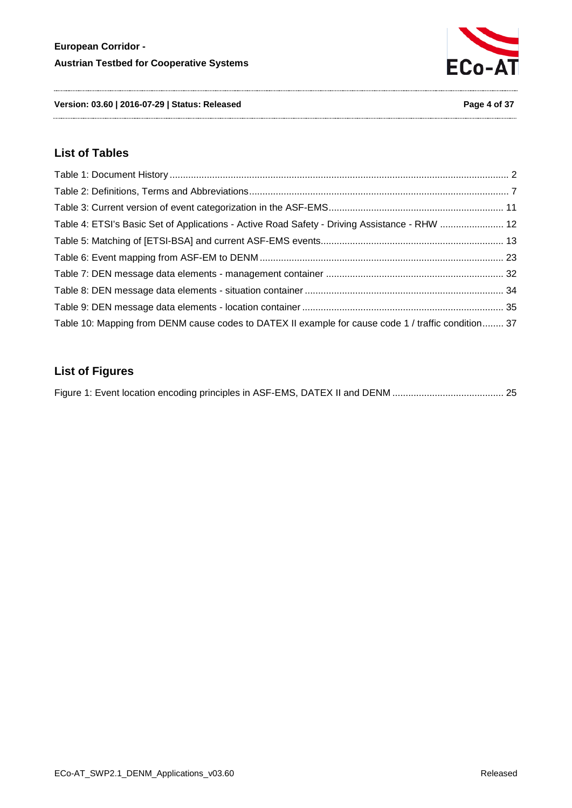

**Version: 03.60 | 2016-07-29 | Status: Released Page 4 of 37**

# **List of Tables**

| Table 4: ETSI's Basic Set of Applications - Active Road Safety - Driving Assistance - RHW  12       |  |
|-----------------------------------------------------------------------------------------------------|--|
|                                                                                                     |  |
|                                                                                                     |  |
|                                                                                                     |  |
|                                                                                                     |  |
|                                                                                                     |  |
| Table 10: Mapping from DENM cause codes to DATEX II example for cause code 1 / traffic condition 37 |  |

# **List of Figures**

|--|--|--|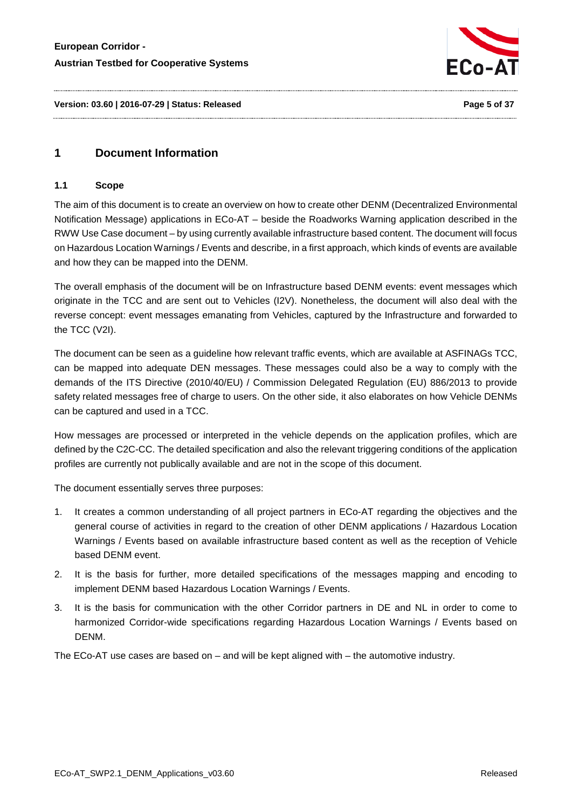

**Version: 03.60 | 2016-07-29 | Status: Released Page 5 of 37**

# <span id="page-4-1"></span><span id="page-4-0"></span>**1 Document Information**

#### **1.1 Scope**

The aim of this document is to create an overview on how to create other DENM (Decentralized Environmental Notification Message) applications in ECo-AT – beside the Roadworks Warning application described in the RWW Use Case document – by using currently available infrastructure based content. The document will focus on Hazardous Location Warnings / Events and describe, in a first approach, which kinds of events are available and how they can be mapped into the DENM.

The overall emphasis of the document will be on Infrastructure based DENM events: event messages which originate in the TCC and are sent out to Vehicles (I2V). Nonetheless, the document will also deal with the reverse concept: event messages emanating from Vehicles, captured by the Infrastructure and forwarded to the TCC (V2I).

The document can be seen as a guideline how relevant traffic events, which are available at ASFINAGs TCC, can be mapped into adequate DEN messages. These messages could also be a way to comply with the demands of the ITS Directive (2010/40/EU) / Commission Delegated Regulation (EU) 886/2013 to provide safety related messages free of charge to users. On the other side, it also elaborates on how Vehicle DENMs can be captured and used in a TCC.

How messages are processed or interpreted in the vehicle depends on the application profiles, which are defined by the C2C-CC. The detailed specification and also the relevant triggering conditions of the application profiles are currently not publically available and are not in the scope of this document.

The document essentially serves three purposes:

- 1. It creates a common understanding of all project partners in ECo-AT regarding the objectives and the general course of activities in regard to the creation of other DENM applications / Hazardous Location Warnings / Events based on available infrastructure based content as well as the reception of Vehicle based DENM event.
- 2. It is the basis for further, more detailed specifications of the messages mapping and encoding to implement DENM based Hazardous Location Warnings / Events.
- 3. It is the basis for communication with the other Corridor partners in DE and NL in order to come to harmonized Corridor-wide specifications regarding Hazardous Location Warnings / Events based on DENM.

The ECo-AT use cases are based on – and will be kept aligned with – the automotive industry.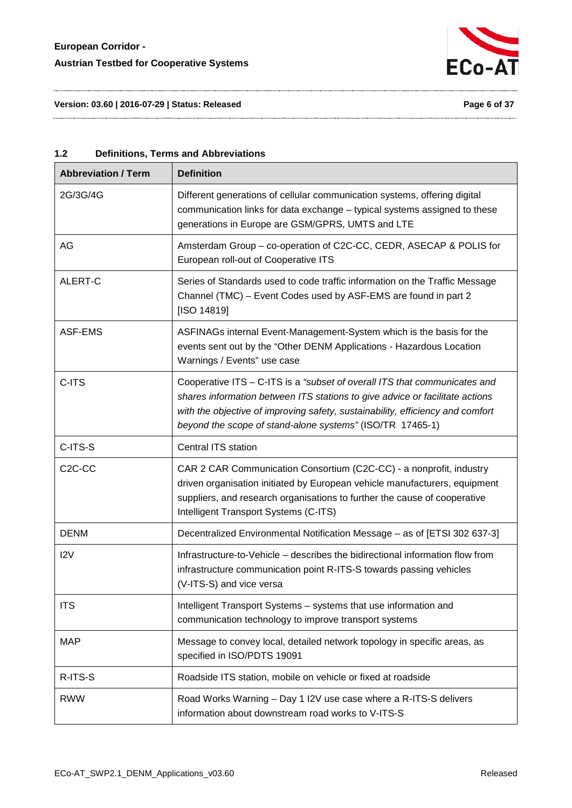

**Version: 03.60 | 2016-07-29 | Status: Released Page 6 of 37**

| Version: 03.60   2016-07-29   Status: Released |  |
|------------------------------------------------|--|
|------------------------------------------------|--|

<span id="page-5-0"></span>

| 1.2 | <b>Definitions, Terms and Abbreviations</b> |
|-----|---------------------------------------------|
|-----|---------------------------------------------|

| <b>Abbreviation / Term</b> | <b>Definition</b>                                                                                                                                                                                                                                                                                        |
|----------------------------|----------------------------------------------------------------------------------------------------------------------------------------------------------------------------------------------------------------------------------------------------------------------------------------------------------|
| 2G/3G/4G                   | Different generations of cellular communication systems, offering digital<br>communication links for data exchange - typical systems assigned to these<br>generations in Europe are GSM/GPRS, UMTS and LTE                                                                                               |
| AG                         | Amsterdam Group - co-operation of C2C-CC, CEDR, ASECAP & POLIS for<br>European roll-out of Cooperative ITS                                                                                                                                                                                               |
| ALERT-C                    | Series of Standards used to code traffic information on the Traffic Message<br>Channel (TMC) - Event Codes used by ASF-EMS are found in part 2<br>[ISO 14819]                                                                                                                                            |
| ASF-EMS                    | ASFINAGs internal Event-Management-System which is the basis for the<br>events sent out by the "Other DENM Applications - Hazardous Location<br>Warnings / Events" use case                                                                                                                              |
| C-ITS                      | Cooperative ITS - C-ITS is a "subset of overall ITS that communicates and<br>shares information between ITS stations to give advice or facilitate actions<br>with the objective of improving safety, sustainability, efficiency and comfort<br>beyond the scope of stand-alone systems" (ISO/TR 17465-1) |
| C-ITS-S                    | Central ITS station                                                                                                                                                                                                                                                                                      |
| C <sub>2</sub> C-CC        | CAR 2 CAR Communication Consortium (C2C-CC) - a nonprofit, industry<br>driven organisation initiated by European vehicle manufacturers, equipment<br>suppliers, and research organisations to further the cause of cooperative<br>Intelligent Transport Systems (C-ITS)                                  |
| <b>DENM</b>                | Decentralized Environmental Notification Message - as of [ETSI 302 637-3]                                                                                                                                                                                                                                |
| 12V                        | Infrastructure-to-Vehicle - describes the bidirectional information flow from<br>infrastructure communication point R-ITS-S towards passing vehicles<br>(V-ITS-S) and vice versa                                                                                                                         |
| <b>ITS</b>                 | Intelligent Transport Systems - systems that use information and<br>communication technology to improve transport systems                                                                                                                                                                                |
| <b>MAP</b>                 | Message to convey local, detailed network topology in specific areas, as<br>specified in ISO/PDTS 19091                                                                                                                                                                                                  |
| R-ITS-S                    | Roadside ITS station, mobile on vehicle or fixed at roadside                                                                                                                                                                                                                                             |
| <b>RWW</b>                 | Road Works Warning - Day 1 I2V use case where a R-ITS-S delivers<br>information about downstream road works to V-ITS-S                                                                                                                                                                                   |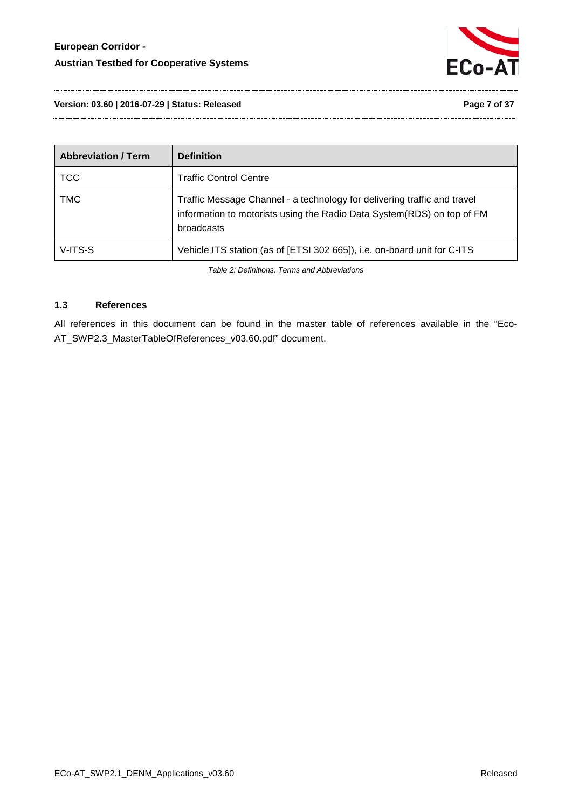

**Version: 03.60 | 2016-07-29 | Status: Released Page 7 of 37**

| <b>Abbreviation / Term</b> | <b>Definition</b>                                                                                                                                                |
|----------------------------|------------------------------------------------------------------------------------------------------------------------------------------------------------------|
| <b>TCC</b>                 | <b>Traffic Control Centre</b>                                                                                                                                    |
| <b>TMC</b>                 | Traffic Message Channel - a technology for delivering traffic and travel<br>information to motorists using the Radio Data System(RDS) on top of FM<br>broadcasts |
| V-ITS-S                    | Vehicle ITS station (as of [ETSI 302 665]), i.e. on-board unit for C-ITS                                                                                         |

*Table 2: Definitions, Terms and Abbreviations*

#### <span id="page-6-1"></span><span id="page-6-0"></span>**1.3 References**

All references in this document can be found in the master table of references available in the "Eco-AT\_SWP2.3\_MasterTableOfReferences\_v03.60.pdf" document.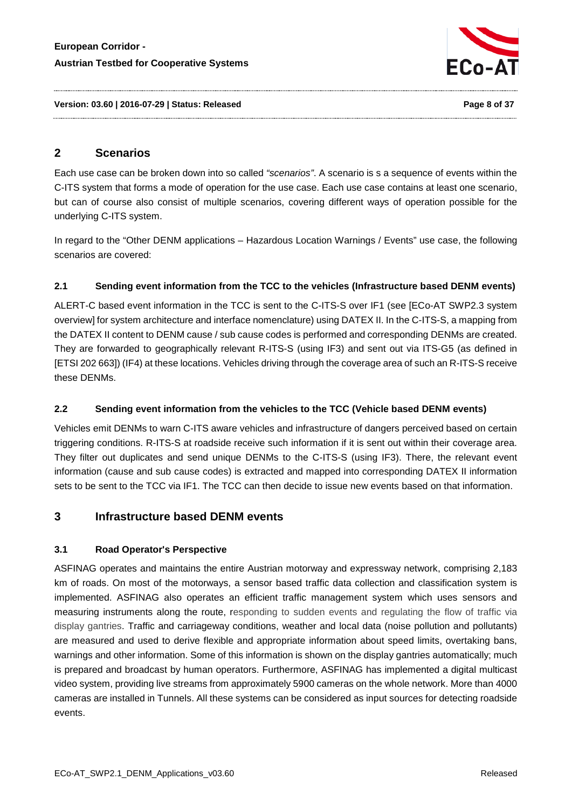

**Version: 03.60 | 2016-07-29 | Status: Released Page 8 of 37**

# <span id="page-7-0"></span>**2 Scenarios**

Each use case can be broken down into so called *"scenarios"*. A scenario is s a sequence of events within the C-ITS system that forms a mode of operation for the use case. Each use case contains at least one scenario, but can of course also consist of multiple scenarios, covering different ways of operation possible for the underlying C-ITS system.

In regard to the "Other DENM applications – Hazardous Location Warnings / Events" use case, the following scenarios are covered:

# <span id="page-7-1"></span>**2.1 Sending event information from the TCC to the vehicles (Infrastructure based DENM events)**

ALERT-C based event information in the TCC is sent to the C-ITS-S over IF1 (see [ECo-AT SWP2.3 system overview] for system architecture and interface nomenclature) using DATEX II. In the C-ITS-S, a mapping from the DATEX II content to DENM cause / sub cause codes is performed and corresponding DENMs are created. They are forwarded to geographically relevant R-ITS-S (using IF3) and sent out via ITS-G5 (as defined in [ETSI 202 663]) (IF4) at these locations. Vehicles driving through the coverage area of such an R-ITS-S receive these DENMs.

# <span id="page-7-2"></span>**2.2 Sending event information from the vehicles to the TCC (Vehicle based DENM events)**

Vehicles emit DENMs to warn C-ITS aware vehicles and infrastructure of dangers perceived based on certain triggering conditions. R-ITS-S at roadside receive such information if it is sent out within their coverage area. They filter out duplicates and send unique DENMs to the C-ITS-S (using IF3). There, the relevant event information (cause and sub cause codes) is extracted and mapped into corresponding DATEX II information sets to be sent to the TCC via IF1. The TCC can then decide to issue new events based on that information.

# <span id="page-7-4"></span><span id="page-7-3"></span>**3 Infrastructure based DENM events**

# **3.1 Road Operator's Perspective**

ASFINAG operates and maintains the entire Austrian motorway and expressway network, comprising 2,183 km of roads. On most of the motorways, a sensor based traffic data collection and classification system is implemented. ASFINAG also operates an efficient traffic management system which uses sensors and measuring instruments along the route, responding to sudden events and regulating the flow of traffic via display gantries. Traffic and carriageway conditions, weather and local data (noise pollution and pollutants) are measured and used to derive flexible and appropriate information about speed limits, overtaking bans, warnings and other information. Some of this information is shown on the display gantries automatically; much is prepared and broadcast by human operators. Furthermore, ASFINAG has implemented a digital multicast video system, providing live streams from approximately 5900 cameras on the whole network. More than 4000 cameras are installed in Tunnels. All these systems can be considered as input sources for detecting roadside events.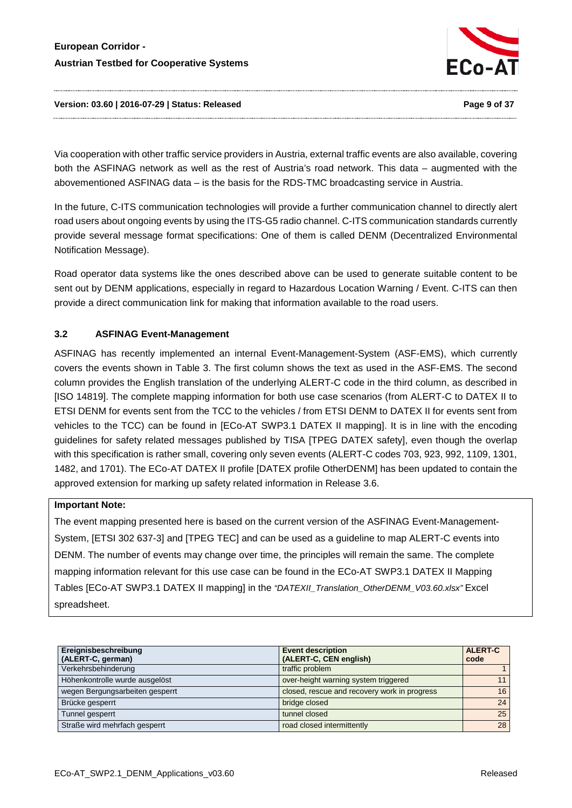

#### **Version: 03.60 | 2016-07-29 | Status: Released Page 9 of 37**

Via cooperation with other traffic service providers in Austria, external traffic events are also available, covering both the ASFINAG network as well as the rest of Austria's road network. This data – augmented with the abovementioned ASFINAG data – is the basis for the RDS-TMC broadcasting service in Austria.

In the future, C-ITS communication technologies will provide a further communication channel to directly alert road users about ongoing events by using the ITS-G5 radio channel. C-ITS communication standards currently provide several message format specifications: One of them is called DENM (Decentralized Environmental Notification Message).

Road operator data systems like the ones described above can be used to generate suitable content to be sent out by DENM applications, especially in regard to Hazardous Location Warning / Event. C-ITS can then provide a direct communication link for making that information available to the road users.

# <span id="page-8-0"></span>**3.2 ASFINAG Event-Management**

ASFINAG has recently implemented an internal Event-Management-System (ASF-EMS), which currently covers the events shown in [Table 3.](#page-10-1) The first column shows the text as used in the ASF-EMS. The second column provides the English translation of the underlying ALERT-C code in the third column, as described in [ISO 14819]. The complete mapping information for both use case scenarios (from ALERT-C to DATEX II to ETSI DENM for events sent from the TCC to the vehicles / from ETSI DENM to DATEX II for events sent from vehicles to the TCC) can be found in [ECo-AT SWP3.1 DATEX II mapping]. It is in line with the encoding guidelines for safety related messages published by TISA [TPEG DATEX safety], even though the overlap with this specification is rather small, covering only seven events (ALERT-C codes 703, 923, 992, 1109, 1301, 1482, and 1701). The ECo-AT DATEX II profile [DATEX profile OtherDENM] has been updated to contain the approved extension for marking up safety related information in Release 3.6.

## **Important Note:**

The event mapping presented here is based on the current version of the ASFINAG Event-Management-System, [ETSI 302 637-3] and [TPEG TEC] and can be used as a guideline to map ALERT-C events into DENM. The number of events may change over time, the principles will remain the same. The complete mapping information relevant for this use case can be found in the ECo-AT SWP3.1 DATEX II Mapping Tables [ECo-AT SWP3.1 DATEX II mapping] in the *"DATEXII\_Translation\_OtherDENM\_V03.60.xlsx"* Excel spreadsheet.

| Ereignisbeschreibung<br>(ALERT-C, german) | <b>Event description</b><br>(ALERT-C, CEN english) | <b>ALERT-C</b><br>code |
|-------------------------------------------|----------------------------------------------------|------------------------|
| Verkehrsbehinderung                       | traffic problem                                    |                        |
| Höhenkontrolle wurde ausgelöst            | over-height warning system triggered               | 11                     |
| wegen Bergungsarbeiten gesperrt           | closed, rescue and recovery work in progress       | 16                     |
| Brücke gesperrt                           | bridge closed                                      | 24                     |
| Tunnel gesperrt                           | tunnel closed                                      | 25                     |
| Straße wird mehrfach gesperrt             | road closed intermittently                         | 28                     |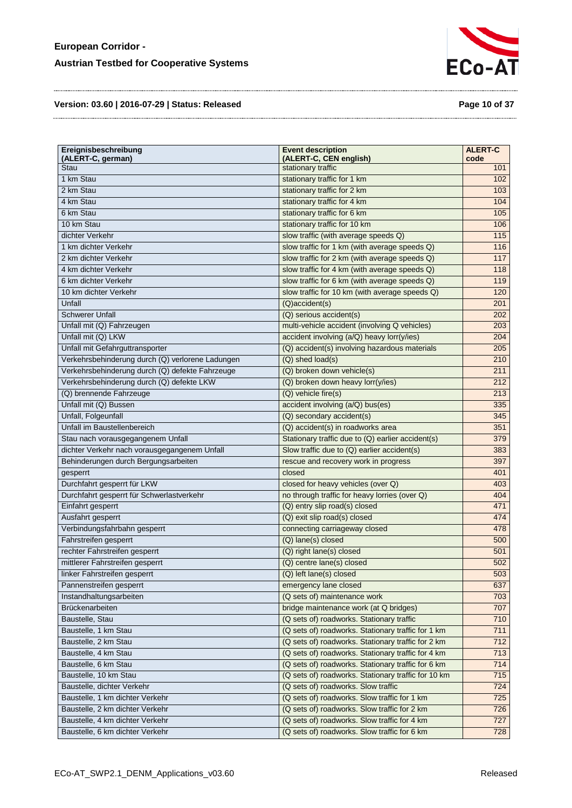

**Version: 03.60 | 2016-07-29 | Status: Released Page 10 of 37**

| Ereignisbeschreibung<br>(ALERT-C, german)        | <b>Event description</b><br>(ALERT-C, CEN english)  | <b>ALERT-C</b><br>code |
|--------------------------------------------------|-----------------------------------------------------|------------------------|
| Stau                                             | stationary traffic                                  | 101                    |
| 1 km Stau                                        | stationary traffic for 1 km                         | 102                    |
| 2 km Stau                                        | stationary traffic for 2 km                         | 103                    |
| 4 km Stau                                        | stationary traffic for 4 km                         | 104                    |
| 6 km Stau                                        | stationary traffic for 6 km                         | 105                    |
| 10 km Stau                                       | stationary traffic for 10 km                        | 106                    |
| dichter Verkehr                                  | slow traffic (with average speeds Q)                | 115                    |
| 1 km dichter Verkehr                             | slow traffic for 1 km (with average speeds Q)       | 116                    |
| 2 km dichter Verkehr                             | slow traffic for 2 km (with average speeds Q)       | 117                    |
| 4 km dichter Verkehr                             | slow traffic for 4 km (with average speeds Q)       | 118                    |
| 6 km dichter Verkehr                             | slow traffic for 6 km (with average speeds Q)       | 119                    |
| 10 km dichter Verkehr                            | slow traffic for 10 km (with average speeds Q)      | 120                    |
| Unfall                                           | (Q)accident(s)                                      | 201                    |
| <b>Schwerer Unfall</b>                           | (Q) serious accident(s)                             | 202                    |
| Unfall mit (Q) Fahrzeugen                        | multi-vehicle accident (involving Q vehicles)       | 203                    |
| Unfall mit (Q) LKW                               | accident involving (a/Q) heavy lorr(y/ies)          | 204                    |
| Unfall mit Gefahrguttransporter                  | (Q) accident(s) involving hazardous materials       | 205                    |
| Verkehrsbehinderung durch (Q) verlorene Ladungen | (Q) shed load(s)                                    | 210                    |
| Verkehrsbehinderung durch (Q) defekte Fahrzeuge  | (Q) broken down vehicle(s)                          | 211                    |
| Verkehrsbehinderung durch (Q) defekte LKW        | (Q) broken down heavy lorr(y/ies)                   | 212                    |
| (Q) brennende Fahrzeuge                          | (Q) vehicle fire(s)                                 | 213                    |
| Unfall mit (Q) Bussen                            | accident involving (a/Q) bus(es)                    | 335                    |
| Unfall, Folgeunfall                              | (Q) secondary accident(s)                           | 345                    |
| Unfall im Baustellenbereich                      | (Q) accident(s) in roadworks area                   | 351                    |
| Stau nach vorausgegangenem Unfall                | Stationary traffic due to (Q) earlier accident(s)   | 379                    |
| dichter Verkehr nach vorausgegangenem Unfall     | Slow traffic due to (Q) earlier accident(s)         | 383                    |
| Behinderungen durch Bergungsarbeiten             | rescue and recovery work in progress                | 397                    |
| gesperrt                                         | closed                                              | 401                    |
| Durchfahrt gesperrt für LKW                      | closed for heavy vehicles (over Q)                  | 403                    |
| Durchfahrt gesperrt für Schwerlastverkehr        | no through traffic for heavy lorries (over Q)       | 404                    |
| Einfahrt gesperrt                                | (Q) entry slip road(s) closed                       | 471                    |
| Ausfahrt gesperrt                                | (Q) exit slip road(s) closed                        | 474                    |
| Verbindungsfahrbahn gesperrt                     | connecting carriageway closed                       | 478                    |
| Fahrstreifen gesperrt                            | (Q) lane(s) closed                                  | 500                    |
| rechter Fahrstreifen gesperrt                    | (Q) right lane(s) closed                            | 501                    |
| mittlerer Fahrstreifen gesperrt                  | (Q) centre lane(s) closed                           | 502                    |
| linker Fahrstreifen gesperrt                     | (Q) left lane(s) closed                             | 503                    |
| Pannenstreifen gesperrt                          | emergency lane closed                               | 637                    |
| Instandhaltungsarbeiten                          | (Q sets of) maintenance work                        | 703                    |
| Brückenarbeiten                                  | bridge maintenance work (at Q bridges)              | 707                    |
| Baustelle, Stau                                  | (Q sets of) roadworks. Stationary traffic           | 710                    |
| Baustelle, 1 km Stau                             | (Q sets of) roadworks. Stationary traffic for 1 km  | 711                    |
| Baustelle, 2 km Stau                             | (Q sets of) roadworks. Stationary traffic for 2 km  | 712                    |
| Baustelle, 4 km Stau                             | (Q sets of) roadworks. Stationary traffic for 4 km  | 713                    |
| Baustelle, 6 km Stau                             | (Q sets of) roadworks. Stationary traffic for 6 km  | 714                    |
| Baustelle, 10 km Stau                            | (Q sets of) roadworks. Stationary traffic for 10 km | 715                    |
| Baustelle, dichter Verkehr                       | (Q sets of) roadworks. Slow traffic                 | 724                    |
| Baustelle, 1 km dichter Verkehr                  | (Q sets of) roadworks. Slow traffic for 1 km        | 725                    |
| Baustelle, 2 km dichter Verkehr                  | (Q sets of) roadworks. Slow traffic for 2 km        | 726                    |
| Baustelle, 4 km dichter Verkehr                  | (Q sets of) roadworks. Slow traffic for 4 km        | 727                    |
| Baustelle, 6 km dichter Verkehr                  | (Q sets of) roadworks. Slow traffic for 6 km        | 728                    |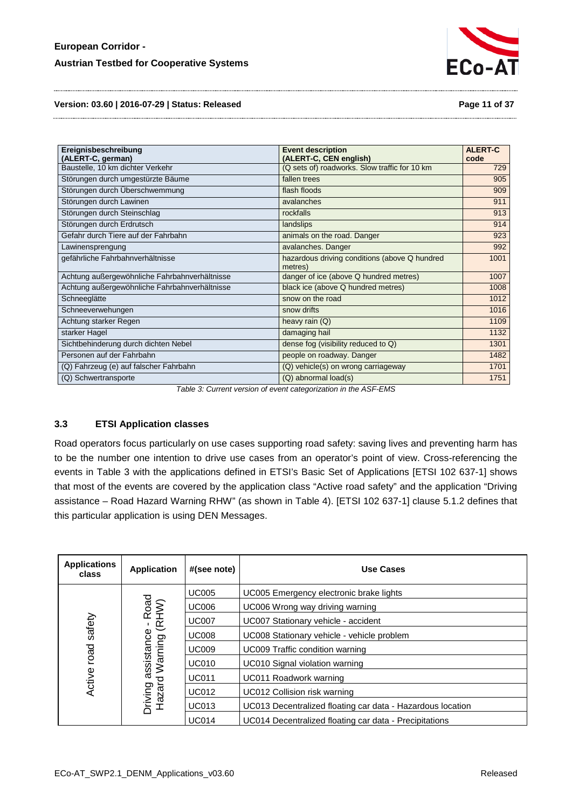

**Version: 03.60 | 2016-07-29 | Status: Released Page 11 of 37**

| Ereignisbeschreibung                          | <b>Event description</b>                                 | <b>ALERT-C</b> |
|-----------------------------------------------|----------------------------------------------------------|----------------|
| (ALERT-C, german)                             | (ALERT-C, CEN english)                                   | code           |
| Baustelle, 10 km dichter Verkehr              | (Q sets of) roadworks. Slow traffic for 10 km            | 729            |
| Störungen durch umgestürzte Bäume             | fallen trees                                             | 905            |
| Störungen durch Überschwemmung                | flash floods                                             | 909            |
| Störungen durch Lawinen                       | avalanches                                               | 911            |
| Störungen durch Steinschlag                   | rockfalls                                                | 913            |
| Störungen durch Erdrutsch                     | landslips                                                | 914            |
| Gefahr durch Tiere auf der Fahrbahn           | animals on the road. Danger                              | 923            |
| Lawinensprengung                              | avalanches. Danger                                       | 992            |
| gefährliche Fahrbahnverhältnisse              | hazardous driving conditions (above Q hundred<br>metres) | 1001           |
| Achtung außergewöhnliche Fahrbahnverhältnisse | danger of ice (above Q hundred metres)                   | 1007           |
| Achtung außergewöhnliche Fahrbahnverhältnisse | black ice (above Q hundred metres)                       | 1008           |
| Schneeglätte                                  | snow on the road                                         | 1012           |
| Schneeverwehungen                             | snow drifts                                              | 1016           |
| Achtung starker Regen                         | heavy rain (Q)                                           | 1109           |
| starker Hagel                                 | damaging hail                                            | 1132           |
| Sichtbehinderung durch dichten Nebel          | dense fog (visibility reduced to Q)                      | 1301           |
| Personen auf der Fahrbahn                     | people on roadway. Danger                                | 1482           |
| (Q) Fahrzeug (e) auf falscher Fahrbahn        | (Q) vehicle(s) on wrong carriageway                      | 1701           |
| (Q) Schwertransporte                          | (Q) abnormal load(s)                                     | 1751           |

*Table 3: Current version of event categorization in the ASF-EMS*

#### <span id="page-10-1"></span><span id="page-10-0"></span>**3.3 ETSI Application classes**

Road operators focus particularly on use cases supporting road safety: saving lives and preventing harm has to be the number one intention to drive use cases from an operator's point of view. Cross-referencing the events in [Table 3](#page-10-1) with the applications defined in ETSI's Basic Set of Applications [ETSI 102 637-1] shows that most of the events are covered by the application class "Active road safety" and the application "Driving assistance – Road Hazard Warning RHW" (as shown in [Table 4\)](#page-11-1). [ETSI 102 637-1] clause 5.1.2 defines that this particular application is using DEN Messages.

| <b>Applications</b><br>class | <b>Application</b>                                | #(see note)  | Use Cases                                                  |  |  |  |  |  |
|------------------------------|---------------------------------------------------|--------------|------------------------------------------------------------|--|--|--|--|--|
|                              |                                                   | <b>UC005</b> | UC005 Emergency electronic brake lights                    |  |  |  |  |  |
|                              |                                                   | <b>UC006</b> | UC006 Wrong way driving warning                            |  |  |  |  |  |
| safety                       |                                                   | <b>UC007</b> | UC007 Stationary vehicle - accident                        |  |  |  |  |  |
|                              |                                                   | <b>UC008</b> | UC008 Stationary vehicle - vehicle problem                 |  |  |  |  |  |
| road                         | Driving assistance - Road<br>Hazard Warning (RHW) | <b>UC009</b> | UC009 Traffic condition warning                            |  |  |  |  |  |
|                              |                                                   | <b>UC010</b> | UC010 Signal violation warning                             |  |  |  |  |  |
| Active                       |                                                   | <b>UC011</b> | UC011 Roadwork warning                                     |  |  |  |  |  |
|                              |                                                   | <b>UC012</b> | UC012 Collision risk warning                               |  |  |  |  |  |
|                              |                                                   | <b>UC013</b> | UC013 Decentralized floating car data - Hazardous location |  |  |  |  |  |
|                              |                                                   | <b>UC014</b> | UC014 Decentralized floating car data - Precipitations     |  |  |  |  |  |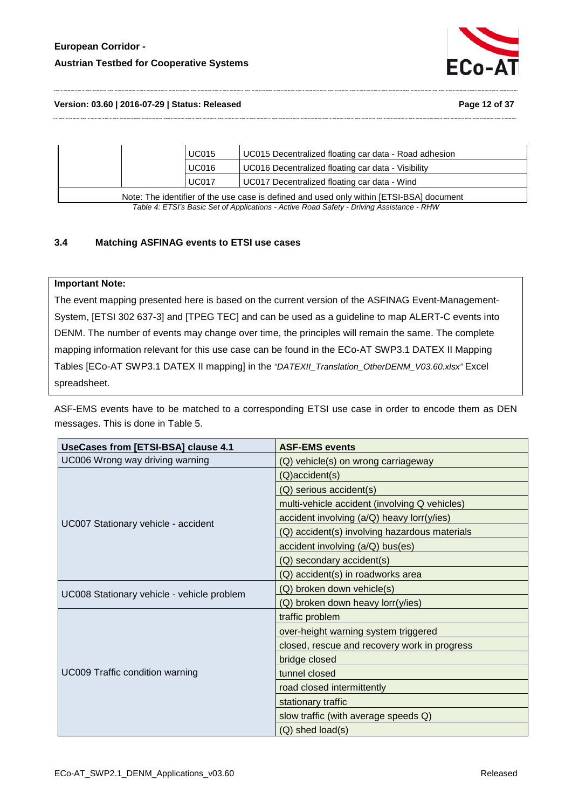# **European Corridor - Austrian Testbed for Cooperative Systems**



#### **Version: 03.60 | 2016-07-29 | Status: Released Page 12 of 37**

|                                                                                          | <b>UC015</b> | UC015 Decentralized floating car data - Road adhesion |  |  |  |  |
|------------------------------------------------------------------------------------------|--------------|-------------------------------------------------------|--|--|--|--|
|                                                                                          | <b>UC016</b> | UC016 Decentralized floating car data - Visibility    |  |  |  |  |
|                                                                                          | <b>UC017</b> | UC017 Decentralized floating car data - Wind          |  |  |  |  |
| Note: The identifier of the use case is defined and used only within [ETSI-BSA] document |              |                                                       |  |  |  |  |

*Table 4: ETSI's Basic Set of Applications - Active Road Safety - Driving Assistance - RHW*

## <span id="page-11-1"></span><span id="page-11-0"></span>**3.4 Matching ASFINAG events to ETSI use cases**

## **Important Note:**

The event mapping presented here is based on the current version of the ASFINAG Event-Management-System, [ETSI 302 637-3] and [TPEG TEC] and can be used as a guideline to map ALERT-C events into DENM. The number of events may change over time, the principles will remain the same. The complete mapping information relevant for this use case can be found in the ECo-AT SWP3.1 DATEX II Mapping Tables [ECo-AT SWP3.1 DATEX II mapping] in the *"DATEXII\_Translation\_OtherDENM\_V03.60.xlsx"* Excel spreadsheet.

ASF-EMS events have to be matched to a corresponding ETSI use case in order to encode them as DEN messages. This is done in [Table 5.](#page-12-0)

| UseCases from [ETSI-BSA] clause 4.1        | <b>ASF-EMS events</b>                         |  |  |  |  |
|--------------------------------------------|-----------------------------------------------|--|--|--|--|
| UC006 Wrong way driving warning            | (Q) vehicle(s) on wrong carriageway           |  |  |  |  |
|                                            | (Q)accident(s)                                |  |  |  |  |
|                                            | (Q) serious accident(s)                       |  |  |  |  |
|                                            | multi-vehicle accident (involving Q vehicles) |  |  |  |  |
| UC007 Stationary vehicle - accident        | accident involving (a/Q) heavy lorr(y/ies)    |  |  |  |  |
|                                            | (Q) accident(s) involving hazardous materials |  |  |  |  |
|                                            | accident involving (a/Q) bus(es)              |  |  |  |  |
|                                            | (Q) secondary accident(s)                     |  |  |  |  |
|                                            | (Q) accident(s) in roadworks area             |  |  |  |  |
| UC008 Stationary vehicle - vehicle problem | (Q) broken down vehicle(s)                    |  |  |  |  |
|                                            | (Q) broken down heavy lorr(y/ies)             |  |  |  |  |
|                                            | traffic problem                               |  |  |  |  |
|                                            | over-height warning system triggered          |  |  |  |  |
|                                            | closed, rescue and recovery work in progress  |  |  |  |  |
|                                            | bridge closed                                 |  |  |  |  |
| <b>UC009 Traffic condition warning</b>     | tunnel closed                                 |  |  |  |  |
|                                            | road closed intermittently                    |  |  |  |  |
|                                            | stationary traffic                            |  |  |  |  |
|                                            | slow traffic (with average speeds Q)          |  |  |  |  |
|                                            | (Q) shed load(s)                              |  |  |  |  |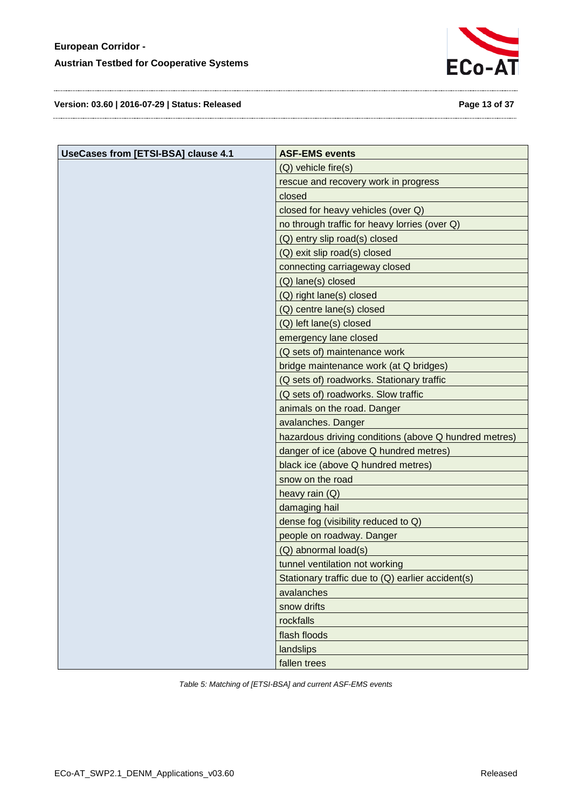

**Version: 03.60 | 2016-07-29 | Status: Released Page 13 of 37**

| UseCases from [ETSI-BSA] clause 4.1 | <b>ASF-EMS events</b>                                 |
|-------------------------------------|-------------------------------------------------------|
|                                     | (Q) vehicle fire(s)                                   |
|                                     | rescue and recovery work in progress                  |
|                                     | closed                                                |
|                                     | closed for heavy vehicles (over Q)                    |
|                                     | no through traffic for heavy lorries (over Q)         |
|                                     | (Q) entry slip road(s) closed                         |
|                                     | (Q) exit slip road(s) closed                          |
|                                     | connecting carriageway closed                         |
|                                     | (Q) lane(s) closed                                    |
|                                     | (Q) right lane(s) closed                              |
|                                     | (Q) centre lane(s) closed                             |
|                                     | (Q) left lane(s) closed                               |
|                                     | emergency lane closed                                 |
|                                     | (Q sets of) maintenance work                          |
|                                     | bridge maintenance work (at Q bridges)                |
|                                     | (Q sets of) roadworks. Stationary traffic             |
|                                     | (Q sets of) roadworks. Slow traffic                   |
|                                     | animals on the road. Danger                           |
|                                     | avalanches. Danger                                    |
|                                     | hazardous driving conditions (above Q hundred metres) |
|                                     | danger of ice (above Q hundred metres)                |
|                                     | black ice (above Q hundred metres)                    |
|                                     | snow on the road                                      |
|                                     | heavy rain (Q)                                        |
|                                     | damaging hail                                         |
|                                     | dense fog (visibility reduced to Q)                   |
|                                     | people on roadway. Danger                             |
|                                     | (Q) abnormal load(s)                                  |
|                                     | tunnel ventilation not working                        |
|                                     | Stationary traffic due to (Q) earlier accident(s)     |
|                                     | avalanches                                            |
|                                     | snow drifts                                           |
|                                     | rockfalls                                             |
|                                     | flash floods                                          |
|                                     | landslips                                             |
|                                     | fallen trees                                          |

<span id="page-12-0"></span>*Table 5: Matching of [ETSI-BSA] and current ASF-EMS events*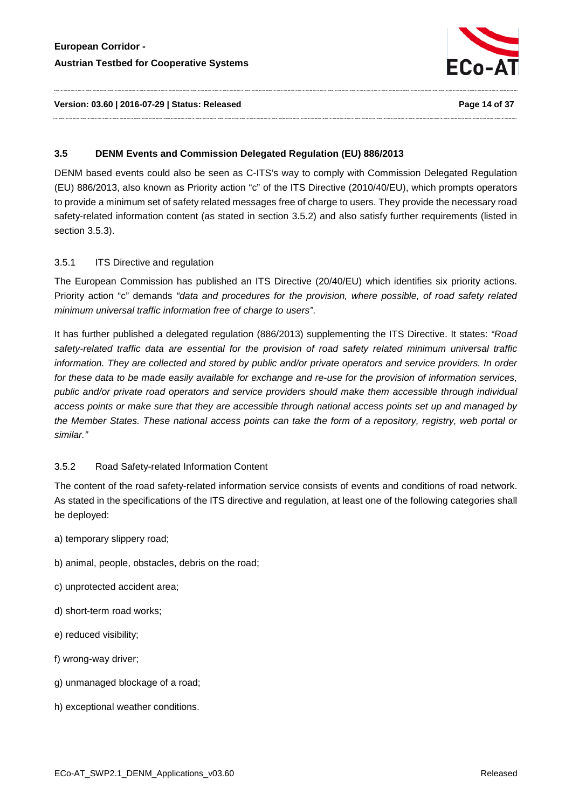

#### **Version: 03.60 | 2016-07-29 | Status: Released Page 14 of 37**

#### <span id="page-13-0"></span>**3.5 DENM Events and Commission Delegated Regulation (EU) 886/2013**

DENM based events could also be seen as C-ITS's way to comply with Commission Delegated Regulation (EU) 886/2013, also known as Priority action "c" of the ITS Directive (2010/40/EU), which prompts operators to provide a minimum set of safety related messages free of charge to users. They provide the necessary road safety-related information content (as stated in section [3.5.2\)](#page-13-2) and also satisfy further requirements (listed in section [3.5.3\)](#page-14-0).

#### <span id="page-13-1"></span>3.5.1 ITS Directive and regulation

The European Commission has published an ITS Directive (20/40/EU) which identifies six priority actions. Priority action "c" demands *"data and procedures for the provision, where possible, of road safety related minimum universal traffic information free of charge to users"*.

It has further published a delegated regulation (886/2013) supplementing the ITS Directive. It states: *"Road safety-related traffic data are essential for the provision of road safety related minimum universal traffic information. They are collected and stored by public and/or private operators and service providers. In order for these data to be made easily available for exchange and re-use for the provision of information services, public and/or private road operators and service providers should make them accessible through individual access points or make sure that they are accessible through national access points set up and managed by the Member States. These national access points can take the form of a repository, registry, web portal or similar."*

#### <span id="page-13-2"></span>3.5.2 Road Safety-related Information Content

The content of the road safety-related information service consists of events and conditions of road network. As stated in the specifications of the ITS directive and regulation, at least one of the following categories shall be deployed:

- a) temporary slippery road;
- b) animal, people, obstacles, debris on the road;
- c) unprotected accident area;
- d) short-term road works;
- e) reduced visibility;
- f) wrong-way driver;
- g) unmanaged blockage of a road;
- h) exceptional weather conditions.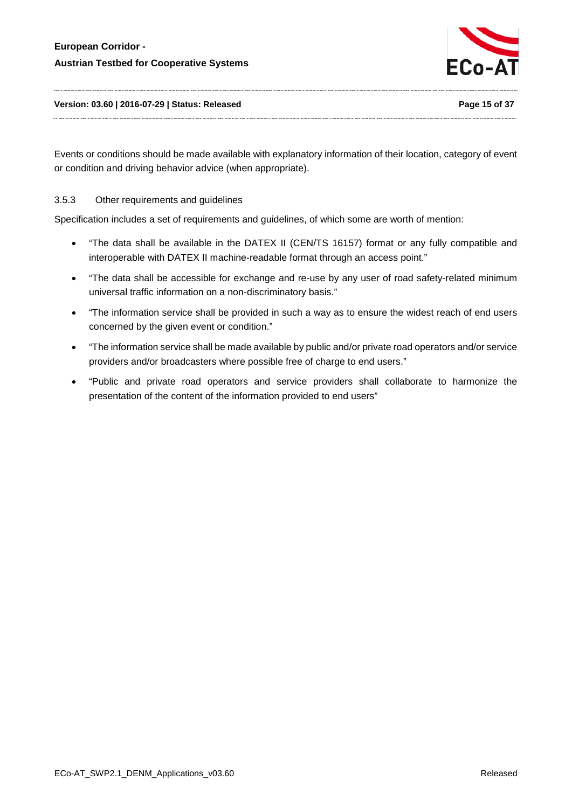

**Version: 03.60 | 2016-07-29 | Status: Released Page 15 of 37**

Events or conditions should be made available with explanatory information of their location, category of event or condition and driving behavior advice (when appropriate).

<span id="page-14-0"></span>3.5.3 Other requirements and guidelines

Specification includes a set of requirements and guidelines, of which some are worth of mention:

- "The data shall be available in the DATEX II (CEN/TS 16157) format or any fully compatible and interoperable with DATEX II machine-readable format through an access point."
- "The data shall be accessible for exchange and re-use by any user of road safety-related minimum universal traffic information on a non-discriminatory basis."
- "The information service shall be provided in such a way as to ensure the widest reach of end users concerned by the given event or condition."
- "The information service shall be made available by public and/or private road operators and/or service providers and/or broadcasters where possible free of charge to end users."
- "Public and private road operators and service providers shall collaborate to harmonize the presentation of the content of the information provided to end users"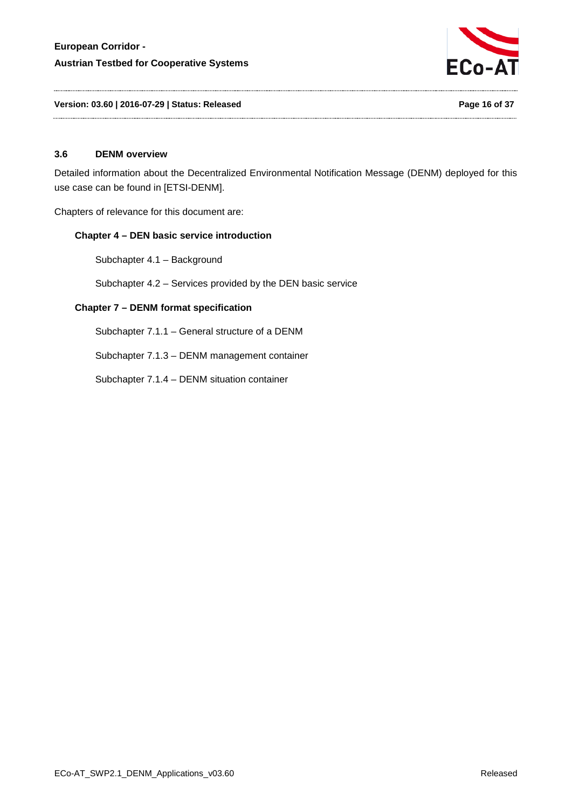

**Version: 03.60 | 2016-07-29 | Status: Released Page 16 of 37**

#### <span id="page-15-0"></span>**3.6 DENM overview**

Detailed information about the Decentralized Environmental Notification Message (DENM) deployed for this use case can be found in [ETSI-DENM].

Chapters of relevance for this document are:

#### **Chapter 4 – DEN basic service introduction**

Subchapter 4.1 – Background

Subchapter 4.2 – Services provided by the DEN basic service

#### **Chapter 7 – DENM format specification**

Subchapter 7.1.1 – General structure of a DENM

Subchapter 7.1.3 – DENM management container

Subchapter 7.1.4 – DENM situation container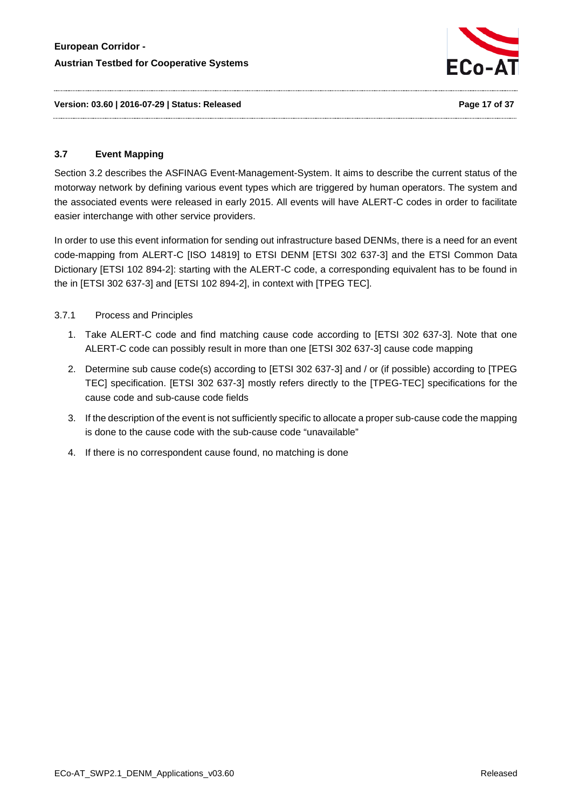

<span id="page-16-2"></span>**Version: 03.60 | 2016-07-29 | Status: Released Page 17 of 37**

# <span id="page-16-0"></span>**3.7 Event Mapping**

Section [3.2](#page-8-0) describes the ASFINAG Event-Management-System. It aims to describe the current status of the motorway network by defining various event types which are triggered by human operators. The system and the associated events were released in early 2015. All events will have ALERT-C codes in order to facilitate easier interchange with other service providers.

In order to use this event information for sending out infrastructure based DENMs, there is a need for an event code-mapping from ALERT-C [ISO 14819] to ETSI DENM [ETSI 302 637-3] and the ETSI Common Data Dictionary [ETSI 102 894-2]: starting with the ALERT-C code, a corresponding equivalent has to be found in the in [ETSI 302 637-3] and [ETSI 102 894-2], in context with [TPEG TEC].

# <span id="page-16-1"></span>3.7.1 Process and Principles

- 1. Take ALERT-C code and find matching cause code according to [ETSI 302 637-3]. Note that one ALERT-C code can possibly result in more than one [ETSI 302 637-3] cause code mapping
- 2. Determine sub cause code(s) according to [ETSI 302 637-3] and / or (if possible) according to [TPEG TEC] specification. [ETSI 302 637-3] mostly refers directly to the [TPEG-TEC] specifications for the cause code and sub-cause code fields
- 3. If the description of the event is not sufficiently specific to allocate a proper sub-cause code the mapping is done to the cause code with the sub-cause code "unavailable"
- 4. If there is no correspondent cause found, no matching is done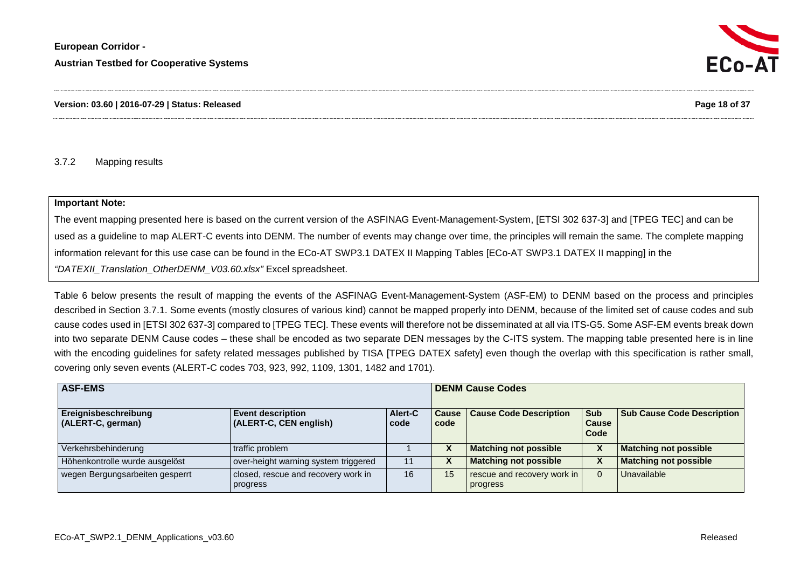

#### **Version: 03.60 | 2016-07-29 | Status: Released Page 18 of 37**

#### 3.7.2 Mapping results

#### **Important Note:**

The event mapping presented here is based on the current version of the ASFINAG Event-Management-System, [ETSI 302 637-3] and [TPEG TEC] and can be used as a guideline to map ALERT-C events into DENM. The number of events may change over time, the principles will remain the same. The complete mapping information relevant for this use case can be found in the ECo-AT SWP3.1 DATEX II Mapping Tables [ECo-AT SWP3.1 DATEX II mapping] in the *"DATEXII\_Translation\_OtherDENM\_V03.60.xlsx"* Excel spreadsheet.

[Table 6](#page-22-1) below presents the result of mapping the events of the ASFINAG Event-Management-System (ASF-EM) to DENM based on the process and principles described in Section [3.7.1.](#page-16-2) Some events (mostly closures of various kind) cannot be mapped properly into DENM, because of the limited set of cause codes and sub cause codes used in [ETSI 302 637-3] compared to [TPEG TEC]. These events will therefore not be disseminated at all via ITS-G5. Some ASF-EM events break down into two separate DENM Cause codes – these shall be encoded as two separate DEN messages by the C-ITS system. The mapping table presented here is in line with the encoding quidelines for safety related messages published by TISA [TPEG DATEX safety] even though the overlap with this specification is rather small, covering only seven events (ALERT-C codes 703, 923, 992, 1109, 1301, 1482 and 1701).

<span id="page-17-0"></span>

| <b>ASF-EMS</b>                            |                                                    |                 |                      | <b>DENM Cause Codes</b>                 |                                      |                                   |  |
|-------------------------------------------|----------------------------------------------------|-----------------|----------------------|-----------------------------------------|--------------------------------------|-----------------------------------|--|
| Ereignisbeschreibung<br>(ALERT-C, german) | <b>Event description</b><br>(ALERT-C, CEN english) | Alert-C<br>code | <b>Cause</b><br>code | <b>Cause Code Description</b>           | <b>Sub</b><br>l Cause<br><b>Code</b> | <b>Sub Cause Code Description</b> |  |
| Verkehrsbehinderung                       | traffic problem                                    |                 | Λ                    | <b>Matching not possible</b>            | v<br>Λ                               | <b>Matching not possible</b>      |  |
| Höhenkontrolle wurde ausgelöst            | over-height warning system triggered               | 11              | Λ                    | <b>Matching not possible</b>            |                                      | <b>Matching not possible</b>      |  |
| wegen Bergungsarbeiten gesperrt           | closed, rescue and recovery work in<br>progress    | 16              | 15                   | rescue and recovery work in<br>progress |                                      | Unavailable                       |  |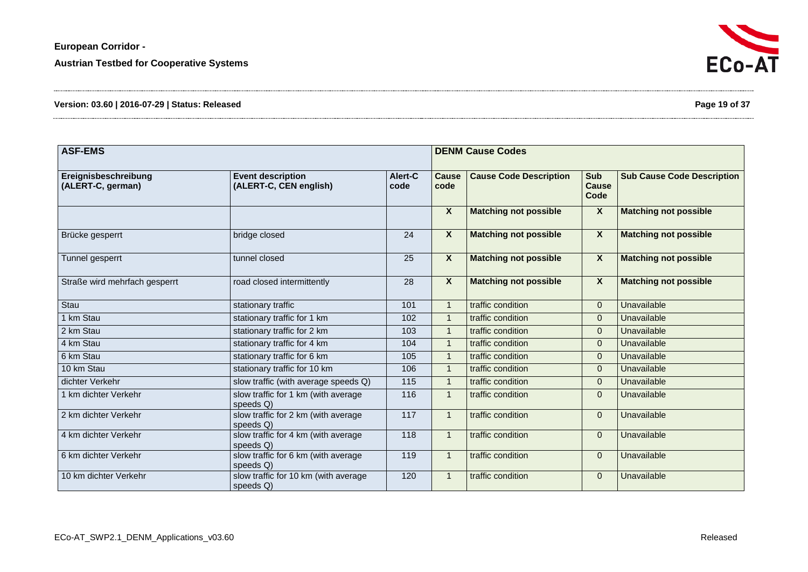| Version: 03.60   2016-07-29   Status: Released | Page 19 of 37 |
|------------------------------------------------|---------------|
|------------------------------------------------|---------------|

| <b>ASF-EMS</b>                            |                                                    |                 |                      | <b>DENM Cause Codes</b>       |                             |                                   |  |  |
|-------------------------------------------|----------------------------------------------------|-----------------|----------------------|-------------------------------|-----------------------------|-----------------------------------|--|--|
| Ereignisbeschreibung<br>(ALERT-C, german) | <b>Event description</b><br>(ALERT-C, CEN english) | Alert-C<br>code | <b>Cause</b><br>code | <b>Cause Code Description</b> | Sub<br><b>Cause</b><br>Code | <b>Sub Cause Code Description</b> |  |  |
|                                           |                                                    |                 | $\boldsymbol{X}$     | <b>Matching not possible</b>  | X                           | <b>Matching not possible</b>      |  |  |
| Brücke gesperrt                           | bridge closed                                      | 24              | X                    | <b>Matching not possible</b>  | $\boldsymbol{\mathsf{X}}$   | <b>Matching not possible</b>      |  |  |
| Tunnel gesperrt                           | tunnel closed                                      | 25              | $\mathsf{X}$         | <b>Matching not possible</b>  | X                           | <b>Matching not possible</b>      |  |  |
| Straße wird mehrfach gesperrt             | road closed intermittently                         | 28              | $\boldsymbol{X}$     | <b>Matching not possible</b>  | $\overline{\mathbf{X}}$     | <b>Matching not possible</b>      |  |  |
| Stau                                      | stationary traffic                                 | 101             | $\mathbf{1}$         | traffic condition             | $\overline{0}$              | Unavailable                       |  |  |
| 1 km Stau                                 | stationary traffic for 1 km                        | 102             | $\mathbf{1}$         | traffic condition             | $\Omega$                    | Unavailable                       |  |  |
| 2 km Stau                                 | stationary traffic for 2 km                        | 103             | $\mathbf{1}$         | traffic condition             | $\Omega$                    | Unavailable                       |  |  |
| 4 km Stau                                 | stationary traffic for 4 km                        | 104             | $\overline{1}$       | traffic condition             | $\Omega$                    | Unavailable                       |  |  |
| 6 km Stau                                 | stationary traffic for 6 km                        | 105             | $\mathbf{1}$         | traffic condition             | $\overline{0}$              | Unavailable                       |  |  |
| 10 km Stau                                | stationary traffic for 10 km                       | 106             | $\mathbf{1}$         | traffic condition             | $\mathbf{0}$                | Unavailable                       |  |  |
| dichter Verkehr                           | slow traffic (with average speeds Q)               | 115             | $\mathbf{1}$         | traffic condition             | $\Omega$                    | Unavailable                       |  |  |
| 1 km dichter Verkehr                      | slow traffic for 1 km (with average<br>speeds Q)   | 116             | $\mathbf{1}$         | traffic condition             | $\Omega$                    | Unavailable                       |  |  |
| 2 km dichter Verkehr                      | slow traffic for 2 km (with average<br>speeds Q)   | 117             | $\mathbf{1}$         | traffic condition             | $\Omega$                    | Unavailable                       |  |  |
| 4 km dichter Verkehr                      | slow traffic for 4 km (with average<br>speeds Q)   | 118             | $\mathbf{1}$         | traffic condition             | $\mathbf{0}$                | Unavailable                       |  |  |
| 6 km dichter Verkehr                      | slow traffic for 6 km (with average<br>speeds Q)   | 119             | $\mathbf{1}$         | traffic condition             | 0                           | Unavailable                       |  |  |
| 10 km dichter Verkehr                     | slow traffic for 10 km (with average<br>speeds Q)  | 120             | $\mathbf{1}$         | traffic condition             | $\Omega$                    | Unavailable                       |  |  |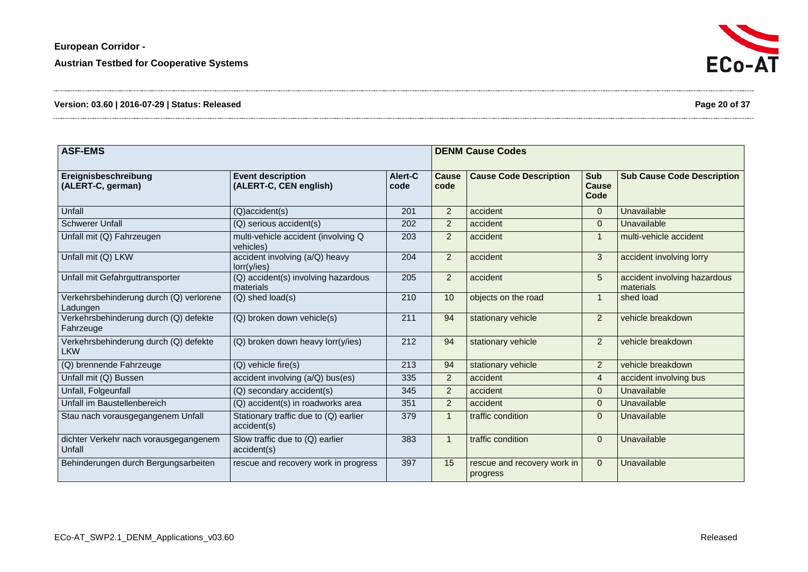| Ereignisbeschreibung<br>(ALERT-C, german)           | <b>Event description</b><br>(ALERT-C, CEN english)   | Alert-C<br>code | Cause<br>code  | <b>Cause Code Description</b>           | Sub<br><b>Cause</b><br>Code | <b>Sub Cause Code Description</b>         |
|-----------------------------------------------------|------------------------------------------------------|-----------------|----------------|-----------------------------------------|-----------------------------|-------------------------------------------|
| Unfall                                              | (Q)accident(s)                                       | 201             | $\overline{2}$ | accident                                | $\Omega$                    | Unavailable                               |
| <b>Schwerer Unfall</b>                              | (Q) serious accident(s)                              | 202             | $\overline{2}$ | accident                                | $\mathbf 0$                 | Unavailable                               |
| Unfall mit (Q) Fahrzeugen                           | multi-vehicle accident (involving Q<br>vehicles)     | 203             | $\overline{2}$ | accident                                |                             | multi-vehicle accident                    |
| Unfall mit (Q) LKW                                  | accident involving (a/Q) heavy<br>lorr(y/ies)        | 204             | $\overline{2}$ | accident                                | 3                           | accident involving lorry                  |
| Unfall mit Gefahrguttransporter                     | (Q) accident(s) involving hazardous<br>materials     | 205             | $\overline{2}$ | accident                                | 5                           | accident involving hazardous<br>materials |
| Verkehrsbehinderung durch (Q) verlorene<br>Ladungen | (Q) shed load(s)                                     | 210             | 10             | objects on the road                     | 1                           | shed load                                 |
| Verkehrsbehinderung durch (Q) defekte<br>Fahrzeuge  | (Q) broken down vehicle(s)                           | 211             | 94             | stationary vehicle                      | $\overline{2}$              | vehicle breakdown                         |
| Verkehrsbehinderung durch (Q) defekte<br><b>LKW</b> | (Q) broken down heavy lorr(y/ies)                    | 212             | 94             | stationary vehicle                      | 2                           | vehicle breakdown                         |
| (Q) brennende Fahrzeuge                             | (Q) vehicle fire(s)                                  | 213             | 94             | stationary vehicle                      | 2                           | vehicle breakdown                         |
| Unfall mit (Q) Bussen                               | accident involving (a/Q) bus(es)                     | 335             | $\overline{2}$ | accident                                | $\overline{4}$              | accident involving bus                    |
| Unfall, Folgeunfall                                 | (Q) secondary accident(s)                            | 345             | $\overline{2}$ | accident                                | $\mathbf 0$                 | Unavailable                               |
| Unfall im Baustellenbereich                         | (Q) accident(s) in roadworks area                    | 351             | $\overline{2}$ | accident                                | $\mathbf 0$                 | Unavailable                               |
| Stau nach vorausgegangenem Unfall                   | Stationary traffic due to (Q) earlier<br>accident(s) | 379             | $\mathbf{1}$   | traffic condition                       | $\mathbf 0$                 | Unavailable                               |
| dichter Verkehr nach vorausgegangenem<br>Unfall     | Slow traffic due to $(Q)$ earlier<br>accident(s)     | 383             |                | traffic condition                       | $\Omega$                    | Unavailable                               |
| Behinderungen durch Bergungsarbeiten                | rescue and recovery work in progress                 | 397             | 15             | rescue and recovery work in<br>progress | $\mathbf{0}$                | Unavailable                               |

**ASF-EMS** DENM Cause Codes

**Austrian Testbed for Cooperative Systems**

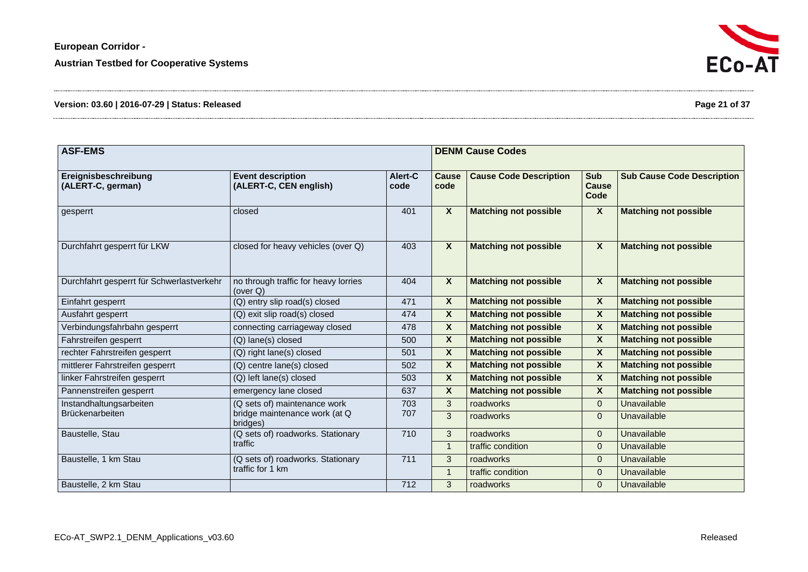| Version: 03.60   2016-07-29   Status: Released | Page 21 of 37 |
|------------------------------------------------|---------------|
|------------------------------------------------|---------------|

| <b>ASF-EMS</b>                            |                                                     |                 |                           | <b>DENM Cause Codes</b>       |                             |                                   |  |
|-------------------------------------------|-----------------------------------------------------|-----------------|---------------------------|-------------------------------|-----------------------------|-----------------------------------|--|
| Ereignisbeschreibung<br>(ALERT-C, german) | <b>Event description</b><br>(ALERT-C, CEN english)  | Alert-C<br>code | <b>Cause</b><br>code      | <b>Cause Code Description</b> | <b>Sub</b><br>Cause<br>Code | <b>Sub Cause Code Description</b> |  |
| gesperrt                                  | closed                                              | 401             | $\mathbf{x}$              | <b>Matching not possible</b>  | X                           | <b>Matching not possible</b>      |  |
| Durchfahrt gesperrt für LKW               | closed for heavy vehicles (over Q)                  | 403             | $\boldsymbol{x}$          | <b>Matching not possible</b>  | X                           | <b>Matching not possible</b>      |  |
| Durchfahrt gesperrt für Schwerlastverkehr | no through traffic for heavy lorries<br>(over $Q$ ) | 404             | $\boldsymbol{x}$          | <b>Matching not possible</b>  | X                           | <b>Matching not possible</b>      |  |
| Einfahrt gesperrt                         | (Q) entry slip road(s) closed                       | 471             | $\boldsymbol{\mathsf{X}}$ | <b>Matching not possible</b>  | X                           | <b>Matching not possible</b>      |  |
| Ausfahrt gesperrt                         | (Q) exit slip road(s) closed                        | 474             | $\boldsymbol{\mathsf{X}}$ | <b>Matching not possible</b>  | X                           | <b>Matching not possible</b>      |  |
| Verbindungsfahrbahn gesperrt              | connecting carriageway closed                       | 478             | $\boldsymbol{X}$          | <b>Matching not possible</b>  | X                           | <b>Matching not possible</b>      |  |
| Fahrstreifen gesperrt                     | (Q) lane(s) closed                                  | 500             | $\boldsymbol{\mathsf{X}}$ | <b>Matching not possible</b>  | <b>X</b>                    | <b>Matching not possible</b>      |  |
| rechter Fahrstreifen gesperrt             | (Q) right lane(s) closed                            | 501             | $\overline{\mathbf{x}}$   | <b>Matching not possible</b>  | $\boldsymbol{x}$            | <b>Matching not possible</b>      |  |
| mittlerer Fahrstreifen gesperrt           | (Q) centre lane(s) closed                           | 502             | $\boldsymbol{X}$          | <b>Matching not possible</b>  | <b>X</b>                    | <b>Matching not possible</b>      |  |
| linker Fahrstreifen gesperrt              | (Q) left lane(s) closed                             | 503             | X                         | <b>Matching not possible</b>  | X                           | <b>Matching not possible</b>      |  |
| Pannenstreifen gesperrt                   | emergency lane closed                               | 637             | $\boldsymbol{\mathsf{X}}$ | <b>Matching not possible</b>  | X                           | <b>Matching not possible</b>      |  |
| Instandhaltungsarbeiten                   | (Q sets of) maintenance work                        | 703             | 3                         | roadworks                     | $\mathbf{0}$                | Unavailable                       |  |
| <b>Brückenarbeiten</b>                    | bridge maintenance work (at Q<br>bridges)           | 707             | 3                         | roadworks                     | $\mathbf{0}$                | Unavailable                       |  |
| Baustelle, Stau                           | (Q sets of) roadworks. Stationary                   | 710             | 3                         | roadworks                     | $\mathbf{0}$                | Unavailable                       |  |
|                                           | traffic                                             |                 | $\overline{1}$            | traffic condition             | $\mathbf{0}$                | Unavailable                       |  |
| Baustelle, 1 km Stau                      | (Q sets of) roadworks. Stationary                   | 711             | 3                         | roadworks                     | $\mathbf{0}$                | Unavailable                       |  |
|                                           | traffic for 1 km                                    |                 | $\overline{1}$            | traffic condition             | $\mathbf{0}$                | Unavailable                       |  |
| Baustelle, 2 km Stau                      |                                                     | 712             | 3                         | roadworks                     | $\mathbf{0}$                | Unavailable                       |  |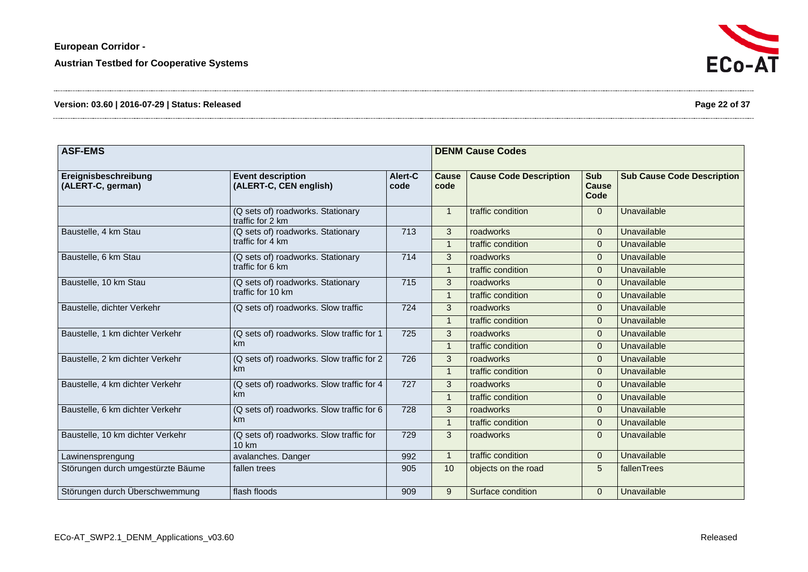| Version: 03.60   2016-07-29   Status: Released | Page 22 of 37 |
|------------------------------------------------|---------------|
|------------------------------------------------|---------------|

| <b>ASF-EMS</b>                            |                                                        |                 |                      | <b>DENM Cause Codes</b>       |                                    |                                   |  |  |
|-------------------------------------------|--------------------------------------------------------|-----------------|----------------------|-------------------------------|------------------------------------|-----------------------------------|--|--|
| Ereignisbeschreibung<br>(ALERT-C, german) | <b>Event description</b><br>(ALERT-C, CEN english)     | Alert-C<br>code | <b>Cause</b><br>code | <b>Cause Code Description</b> | <b>Sub</b><br><b>Cause</b><br>Code | <b>Sub Cause Code Description</b> |  |  |
|                                           | (Q sets of) roadworks. Stationary<br>traffic for 2 km  |                 | $\overline{1}$       | traffic condition             | $\overline{0}$                     | Unavailable                       |  |  |
| Baustelle, 4 km Stau                      | (Q sets of) roadworks. Stationary                      | 713             | 3                    | roadworks                     | $\Omega$                           | Unavailable                       |  |  |
|                                           | traffic for 4 km                                       |                 | $\overline{1}$       | traffic condition             | $\overline{0}$                     | Unavailable                       |  |  |
| Baustelle, 6 km Stau                      | (Q sets of) roadworks. Stationary                      | 714             | 3                    | roadworks                     | $\mathbf{0}$                       | Unavailable                       |  |  |
|                                           | traffic for 6 km                                       |                 |                      | traffic condition             | $\Omega$                           | Unavailable                       |  |  |
| Baustelle, 10 km Stau                     | (Q sets of) roadworks. Stationary<br>traffic for 10 km | 715             | 3                    | roadworks                     | $\overline{0}$                     | Unavailable                       |  |  |
|                                           |                                                        |                 | $\overline{1}$       | traffic condition             | $\mathbf{0}$                       | Unavailable                       |  |  |
| Baustelle, dichter Verkehr                | (Q sets of) roadworks. Slow traffic                    | 724             | 3                    | roadworks                     | $\Omega$                           | Unavailable                       |  |  |
|                                           |                                                        |                 | $\overline{1}$       | traffic condition             | $\overline{0}$                     | Unavailable                       |  |  |
| Baustelle, 1 km dichter Verkehr           | (Q sets of) roadworks. Slow traffic for 1<br>km        | 725             | 3                    | roadworks                     | $\mathbf{0}$                       | Unavailable                       |  |  |
|                                           |                                                        |                 |                      | traffic condition             | $\Omega$                           | Unavailable                       |  |  |
| Baustelle, 2 km dichter Verkehr           | (Q sets of) roadworks. Slow traffic for 2<br>km        | 726             | 3                    | roadworks                     | $\overline{0}$                     | Unavailable                       |  |  |
|                                           |                                                        |                 | $\overline{1}$       | traffic condition             | $\mathbf{0}$                       | Unavailable                       |  |  |
| Baustelle, 4 km dichter Verkehr           | (Q sets of) roadworks. Slow traffic for 4<br>km        | 727             | 3                    | roadworks                     | 0                                  | Unavailable                       |  |  |
|                                           |                                                        |                 | $\overline{1}$       | traffic condition             | $\overline{0}$                     | Unavailable                       |  |  |
| Baustelle, 6 km dichter Verkehr           | (Q sets of) roadworks. Slow traffic for 6              | 728             | 3                    | roadworks                     | $\mathbf{0}$                       | Unavailable                       |  |  |
|                                           | km                                                     |                 |                      | traffic condition             | $\overline{0}$                     | Unavailable                       |  |  |
| Baustelle, 10 km dichter Verkehr          | (Q sets of) roadworks. Slow traffic for<br>10 km       | 729             | 3                    | roadworks                     | $\Omega$                           | Unavailable                       |  |  |
| Lawinensprengung                          | avalanches. Danger                                     | 992             |                      | traffic condition             | $\overline{0}$                     | Unavailable                       |  |  |
| Störungen durch umgestürzte Bäume         | fallen trees                                           | 905             | 10                   | objects on the road           | 5                                  | fallenTrees                       |  |  |
| Störungen durch Überschwemmung            | flash floods                                           | 909             | 9                    | Surface condition             | $\mathbf{0}$                       | Unavailable                       |  |  |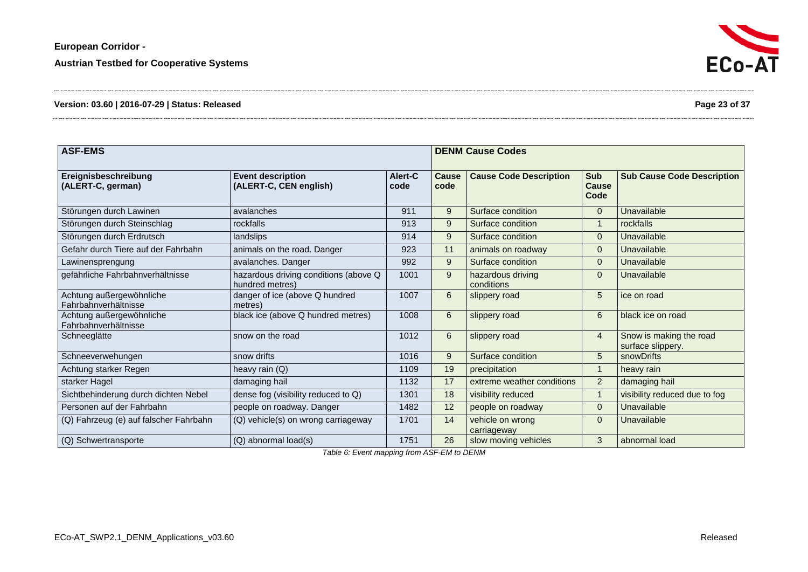**European Corridor -**

**Austrian Testbed for Cooperative Systems**

# **Version: 03.60 | 2016-07-29 | Status: Released Page 23 of 37**

| <b>ASF-EMS</b>                                   |                                                          | <b>DENM Cause Codes</b> |                      |                                 |                             |                                              |
|--------------------------------------------------|----------------------------------------------------------|-------------------------|----------------------|---------------------------------|-----------------------------|----------------------------------------------|
| Ereignisbeschreibung<br>(ALERT-C, german)        | <b>Event description</b><br>(ALERT-C, CEN english)       | Alert-C<br>code         | <b>Cause</b><br>code | <b>Cause Code Description</b>   | <b>Sub</b><br>Cause<br>Code | <b>Sub Cause Code Description</b>            |
| Störungen durch Lawinen                          | avalanches                                               | 911                     | 9                    | Surface condition               | $\overline{0}$              | Unavailable                                  |
| Störungen durch Steinschlag                      | rockfalls                                                | 913                     | 9                    | Surface condition               |                             | rockfalls                                    |
| Störungen durch Erdrutsch                        | landslips                                                | 914                     | 9                    | Surface condition               | $\Omega$                    | Unavailable                                  |
| Gefahr durch Tiere auf der Fahrbahn              | animals on the road. Danger                              | 923                     | 11                   | animals on roadway              | $\overline{0}$              | Unavailable                                  |
| Lawinensprengung                                 | avalanches. Danger                                       | 992                     | 9                    | Surface condition               | $\Omega$                    | Unavailable                                  |
| gefährliche Fahrbahnverhältnisse                 | hazardous driving conditions (above Q<br>hundred metres) | 1001                    | 9                    | hazardous driving<br>conditions | $\mathbf{0}$                | Unavailable                                  |
| Achtung außergewöhnliche<br>Fahrbahnverhältnisse | danger of ice (above Q hundred<br>metres)                | 1007                    | 6                    | slippery road                   | 5                           | ice on road                                  |
| Achtung außergewöhnliche<br>Fahrbahnverhältnisse | black ice (above Q hundred metres)                       | 1008                    | 6                    | slippery road                   | 6                           | black ice on road                            |
| Schneeglätte                                     | snow on the road                                         | 1012                    | 6                    | slippery road                   | 4                           | Snow is making the road<br>surface slippery. |
| Schneeverwehungen                                | snow drifts                                              | 1016                    | 9                    | Surface condition               | 5                           | snowDrifts                                   |
| Achtung starker Regen                            | heavy rain (Q)                                           | 1109                    | 19                   | precipitation                   | $\mathbf 1$                 | heavy rain                                   |
| starker Hagel                                    | damaging hail                                            | 1132                    | 17                   | extreme weather conditions      | $\overline{2}$              | damaging hail                                |
| Sichtbehinderung durch dichten Nebel             | dense fog (visibility reduced to Q)                      | 1301                    | 18                   | visibility reduced              |                             | visibility reduced due to fog                |
| Personen auf der Fahrbahn                        | people on roadway. Danger                                | 1482                    | 12                   | people on roadway               | $\Omega$                    | Unavailable                                  |
| (Q) Fahrzeug (e) auf falscher Fahrbahn           | (Q) vehicle(s) on wrong carriageway                      | 1701                    | 14                   | vehicle on wrong<br>carriageway | $\Omega$                    | Unavailable                                  |
| (Q) Schwertransporte                             | (Q) abnormal load(s)                                     | 1751                    | $\overline{26}$      | slow moving vehicles            | 3                           | abnormal load                                |

<span id="page-22-1"></span><span id="page-22-0"></span>*Table 6: Event mapping from ASF-EM to DENM*



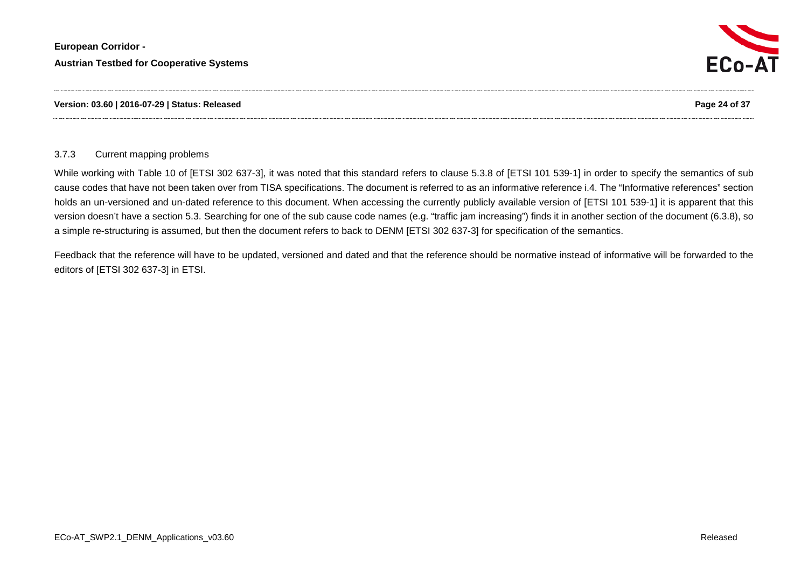



#### 3.7.3 Current mapping problems

While working with Table 10 of [ETSI 302 637-3], it was noted that this standard refers to clause 5.3.8 of [ETSI 101 539-1] in order to specify the semantics of sub cause codes that have not been taken over from TISA specifications. The document is referred to as an informative reference i.4. The "Informative references" section holds an un-versioned and un-dated reference to this document. When accessing the currently publicly available version of [ETSI 101 539-1] it is apparent that this version doesn't have a section 5.3. Searching for one of the sub cause code names (e.g. "traffic jam increasing") finds it in another section of the document (6.3.8), so a simple re-structuring is assumed, but then the document refers to back to DENM [ETSI 302 637-3] for specification of the semantics.

<span id="page-23-0"></span>Feedback that the reference will have to be updated, versioned and dated and that the reference should be normative instead of informative will be forwarded to the editors of [ETSI 302 637-3] in ETSI.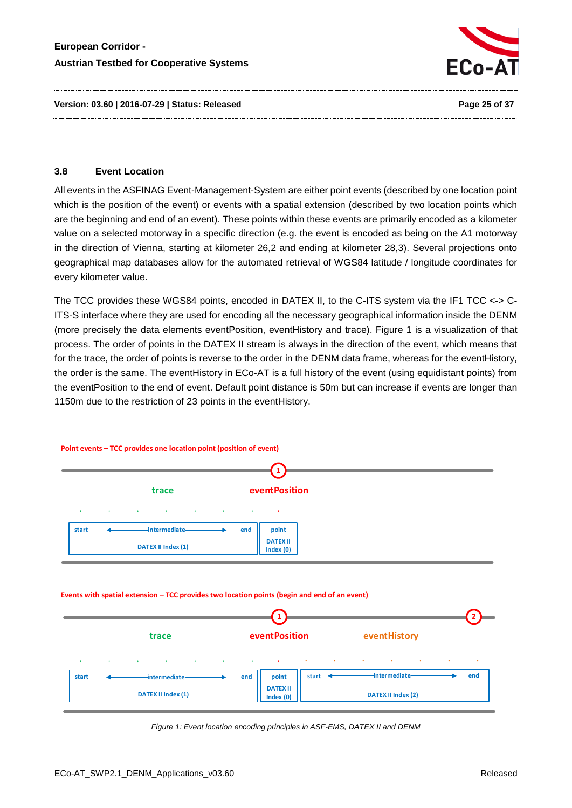

#### <span id="page-24-0"></span>**3.8 Event Location**

All events in the ASFINAG Event-Management-System are either point events (described by one location point which is the position of the event) or events with a spatial extension (described by two location points which are the beginning and end of an event). These points within these events are primarily encoded as a kilometer value on a selected motorway in a specific direction (e.g. the event is encoded as being on the A1 motorway in the direction of Vienna, starting at kilometer 26,2 and ending at kilometer 28,3). Several projections onto geographical map databases allow for the automated retrieval of WGS84 latitude / longitude coordinates for every kilometer value.

The TCC provides these WGS84 points, encoded in DATEX II, to the C-ITS system via the IF1 TCC <-> C-ITS-S interface where they are used for encoding all the necessary geographical information inside the DENM (more precisely the data elements eventPosition, eventHistory and trace). [Figure 1](#page-24-1) is a visualization of that process. The order of points in the DATEX II stream is always in the direction of the event, which means that for the trace, the order of points is reverse to the order in the DENM data frame, whereas for the eventHistory, the order is the same. The eventHistory in ECo-AT is a full history of the event (using equidistant points) from the eventPosition to the end of event. Default point distance is 50m but can increase if events are longer than 1150m due to the restriction of 23 points in the eventHistory.



<span id="page-24-1"></span>*Figure 1: Event location encoding principles in ASF-EMS, DATEX II and DENM*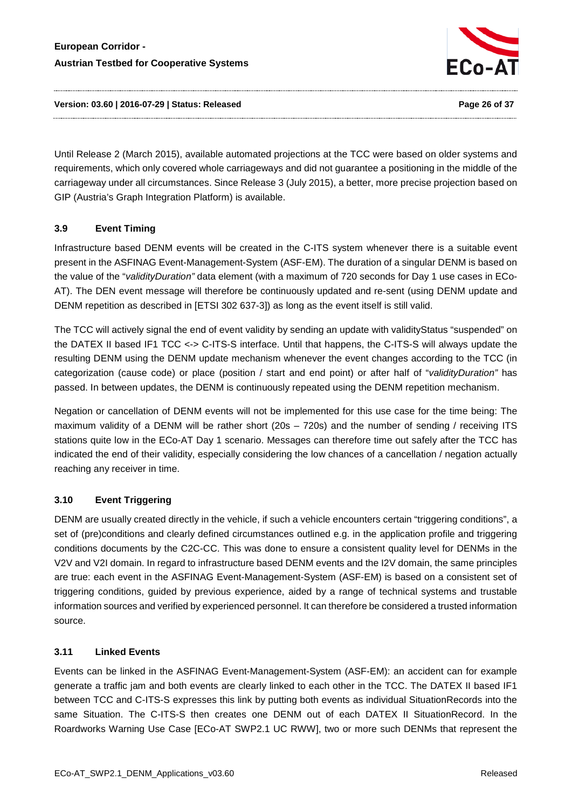

**Version: 03.60 | 2016-07-29 | Status: Released Page 26 of 37**

Until Release 2 (March 2015), available automated projections at the TCC were based on older systems and requirements, which only covered whole carriageways and did not guarantee a positioning in the middle of the carriageway under all circumstances. Since Release 3 (July 2015), a better, more precise projection based on GIP (Austria's Graph Integration Platform) is available.

# <span id="page-25-0"></span>**3.9 Event Timing**

Infrastructure based DENM events will be created in the C-ITS system whenever there is a suitable event present in the ASFINAG Event-Management-System (ASF-EM). The duration of a singular DENM is based on the value of the "*validityDuration"* data element (with a maximum of 720 seconds for Day 1 use cases in ECo-AT). The DEN event message will therefore be continuously updated and re-sent (using DENM update and DENM repetition as described in [ETSI 302 637-3]) as long as the event itself is still valid.

The TCC will actively signal the end of event validity by sending an update with validityStatus "suspended" on the DATEX II based IF1 TCC <-> C-ITS-S interface. Until that happens, the C-ITS-S will always update the resulting DENM using the DENM update mechanism whenever the event changes according to the TCC (in categorization (cause code) or place (position / start and end point) or after half of "*validityDuration"* has passed. In between updates, the DENM is continuously repeated using the DENM repetition mechanism.

Negation or cancellation of DENM events will not be implemented for this use case for the time being: The maximum validity of a DENM will be rather short (20s – 720s) and the number of sending / receiving ITS stations quite low in the ECo-AT Day 1 scenario. Messages can therefore time out safely after the TCC has indicated the end of their validity, especially considering the low chances of a cancellation / negation actually reaching any receiver in time.

# <span id="page-25-1"></span>**3.10 Event Triggering**

DENM are usually created directly in the vehicle, if such a vehicle encounters certain "triggering conditions", a set of (pre)conditions and clearly defined circumstances outlined e.g. in the application profile and triggering conditions documents by the C2C-CC. This was done to ensure a consistent quality level for DENMs in the V2V and V2I domain. In regard to infrastructure based DENM events and the I2V domain, the same principles are true: each event in the ASFINAG Event-Management-System (ASF-EM) is based on a consistent set of triggering conditions, guided by previous experience, aided by a range of technical systems and trustable information sources and verified by experienced personnel. It can therefore be considered a trusted information source.

# <span id="page-25-2"></span>**3.11 Linked Events**

Events can be linked in the ASFINAG Event-Management-System (ASF-EM): an accident can for example generate a traffic jam and both events are clearly linked to each other in the TCC. The DATEX II based IF1 between TCC and C-ITS-S expresses this link by putting both events as individual SituationRecords into the same Situation. The C-ITS-S then creates one DENM out of each DATEX II SituationRecord. In the Roardworks Warning Use Case [ECo-AT SWP2.1 UC RWW], two or more such DENMs that represent the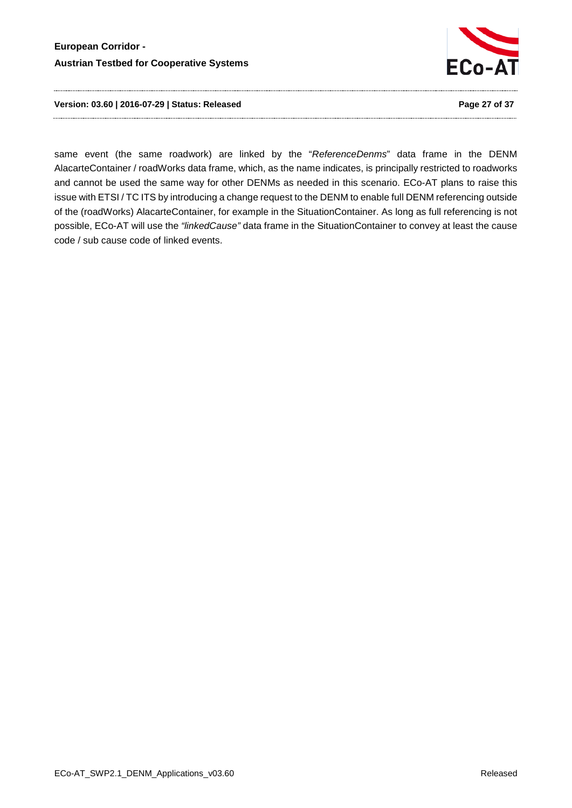

**Version: 03.60 | 2016-07-29 | Status: Released Page 27 of 37**

same event (the same roadwork) are linked by the "*ReferenceDenms*" data frame in the DENM AlacarteContainer / roadWorks data frame, which, as the name indicates, is principally restricted to roadworks and cannot be used the same way for other DENMs as needed in this scenario. ECo-AT plans to raise this issue with ETSI / TC ITS by introducing a change request to the DENM to enable full DENM referencing outside of the (roadWorks) AlacarteContainer, for example in the SituationContainer. As long as full referencing is not possible, ECo-AT will use the *"linkedCause"* data frame in the SituationContainer to convey at least the cause code / sub cause code of linked events.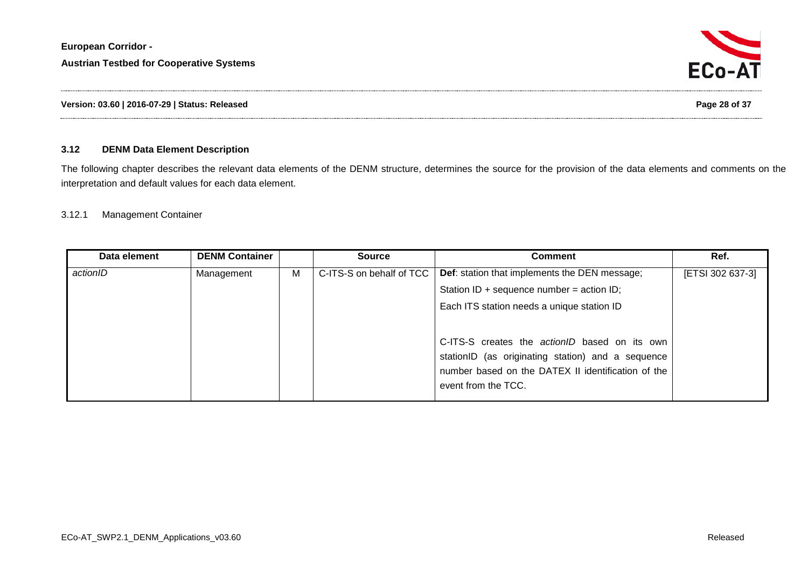### **3.12 DENM Data Element Description**

The following chapter describes the relevant data elements of the DENM structure, determines the source for the provision of the data elements and comments on the interpretation and default values for each data element.

#### 3.12.1 Management Container

<span id="page-27-1"></span><span id="page-27-0"></span>

| Data element | <b>DENM Container</b> |   | <b>Source</b>            | <b>Comment</b>                                       | Ref.             |
|--------------|-----------------------|---|--------------------------|------------------------------------------------------|------------------|
| actionID     | Management            | M | C-ITS-S on behalf of TCC | <b>Def:</b> station that implements the DEN message; | [ETSI 302 637-3] |
|              |                       |   |                          | Station ID + sequence number = action ID;            |                  |
|              |                       |   |                          | Each ITS station needs a unique station ID           |                  |
|              |                       |   |                          |                                                      |                  |
|              |                       |   |                          | C-ITS-S creates the actionID based on its own        |                  |
|              |                       |   |                          | stationID (as originating station) and a sequence    |                  |
|              |                       |   |                          | number based on the DATEX II identification of the   |                  |
|              |                       |   |                          | event from the TCC.                                  |                  |
|              |                       |   |                          |                                                      |                  |

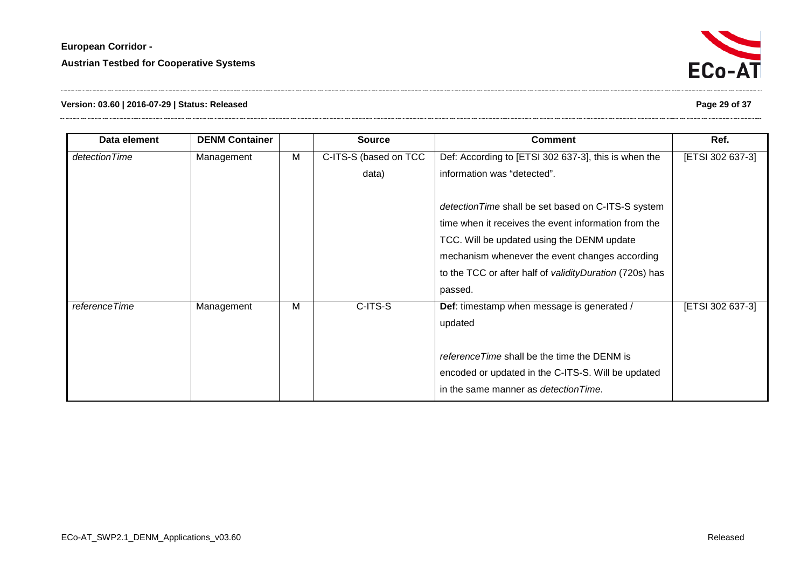# **Version: 03.60 | 2016-07-29 | Status: Released Page 29 of 37**

| Data element  | <b>DENM Container</b> |   | <b>Source</b>         | <b>Comment</b>                                                                                                                                                                                                                                                                     | Ref.             |
|---------------|-----------------------|---|-----------------------|------------------------------------------------------------------------------------------------------------------------------------------------------------------------------------------------------------------------------------------------------------------------------------|------------------|
| detectionTime | Management            | M | C-ITS-S (based on TCC | Def: According to [ETSI 302 637-3], this is when the                                                                                                                                                                                                                               | [ETSI 302 637-3] |
|               |                       |   | data)                 | information was "detected".                                                                                                                                                                                                                                                        |                  |
|               |                       |   |                       | detection Time shall be set based on C-ITS-S system<br>time when it receives the event information from the<br>TCC. Will be updated using the DENM update<br>mechanism whenever the event changes according<br>to the TCC or after half of validity Duration (720s) has<br>passed. |                  |
| referenceTime | Management            | M | C-ITS-S               | Def: timestamp when message is generated /<br>updated<br>reference Time shall be the time the DENM is<br>encoded or updated in the C-ITS-S. Will be updated<br>in the same manner as <i>detection Time</i> .                                                                       | [ETSI 302 637-3] |

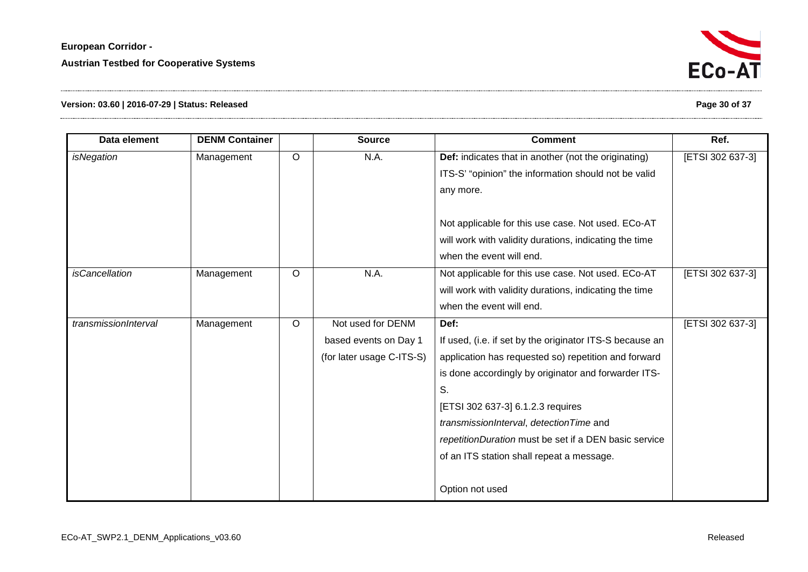

# **Version: 03.60 | 2016-07-29 | Status: Released Page 30 of 37**

| Data element          | <b>DENM Container</b> |         | <b>Source</b>             | <b>Comment</b>                                           | Ref.             |
|-----------------------|-----------------------|---------|---------------------------|----------------------------------------------------------|------------------|
| <i>isNegation</i>     | Management            | $\circ$ | N.A.                      | Def: indicates that in another (not the originating)     | [ETSI 302 637-3] |
|                       |                       |         |                           | ITS-S' "opinion" the information should not be valid     |                  |
|                       |                       |         |                           | any more.                                                |                  |
|                       |                       |         |                           |                                                          |                  |
|                       |                       |         |                           | Not applicable for this use case. Not used. ECo-AT       |                  |
|                       |                       |         |                           | will work with validity durations, indicating the time   |                  |
|                       |                       |         |                           | when the event will end.                                 |                  |
| <i>isCancellation</i> | Management            | $\circ$ | N.A.                      | Not applicable for this use case. Not used. ECo-AT       | [ETSI 302 637-3] |
|                       |                       |         |                           | will work with validity durations, indicating the time   |                  |
|                       |                       |         |                           | when the event will end.                                 |                  |
| transmissionInterval  | Management            | $\circ$ | Not used for DENM         | Def:                                                     | [ETSI 302 637-3] |
|                       |                       |         | based events on Day 1     | If used, (i.e. if set by the originator ITS-S because an |                  |
|                       |                       |         | (for later usage C-ITS-S) | application has requested so) repetition and forward     |                  |
|                       |                       |         |                           | is done accordingly by originator and forwarder ITS-     |                  |
|                       |                       |         |                           | S.                                                       |                  |
|                       |                       |         |                           | [ETSI 302 637-3] 6.1.2.3 requires                        |                  |
|                       |                       |         |                           | transmissionInterval, detectionTime and                  |                  |
|                       |                       |         |                           | repetitionDuration must be set if a DEN basic service    |                  |
|                       |                       |         |                           | of an ITS station shall repeat a message.                |                  |
|                       |                       |         |                           |                                                          |                  |
|                       |                       |         |                           | Option not used                                          |                  |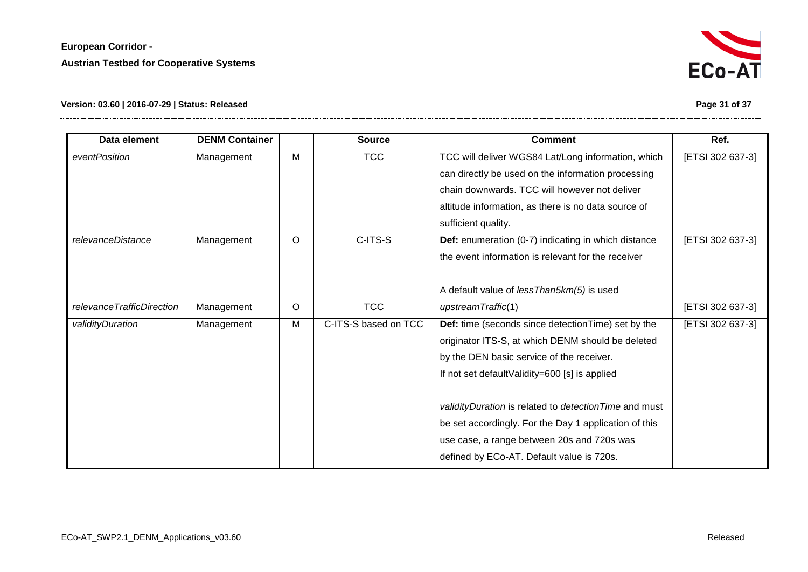

# **Version: 03.60 | 2016-07-29 | Status: Released Page 31 of 37**

| Data element              | <b>DENM Container</b> |         | <b>Source</b>        | <b>Comment</b>                                                         | Ref.             |  |
|---------------------------|-----------------------|---------|----------------------|------------------------------------------------------------------------|------------------|--|
| eventPosition             | Management            | M       | <b>TCC</b>           | TCC will deliver WGS84 Lat/Long information, which<br>[ETSI 302 637-3] |                  |  |
|                           |                       |         |                      | can directly be used on the information processing                     |                  |  |
|                           |                       |         |                      | chain downwards. TCC will however not deliver                          |                  |  |
|                           |                       |         |                      | altitude information, as there is no data source of                    |                  |  |
|                           |                       |         |                      | sufficient quality.                                                    |                  |  |
| relevanceDistance         | Management            | $\circ$ | C-ITS-S              | Def: enumeration (0-7) indicating in which distance                    | [ETSI 302 637-3] |  |
|                           |                       |         |                      | the event information is relevant for the receiver                     |                  |  |
|                           |                       |         |                      |                                                                        |                  |  |
|                           |                       |         |                      | A default value of less Than5km(5) is used                             |                  |  |
| relevanceTrafficDirection | Management            | $\circ$ | <b>TCC</b>           | upstreamTraffic(1)                                                     | [ETSI 302 637-3] |  |
| validityDuration          | Management            | M       | C-ITS-S based on TCC | Def: time (seconds since detection Time) set by the                    | [ETSI 302 637-3] |  |
|                           |                       |         |                      | originator ITS-S, at which DENM should be deleted                      |                  |  |
|                           |                       |         |                      | by the DEN basic service of the receiver.                              |                  |  |
|                           |                       |         |                      | If not set defaultValidity=600 [s] is applied                          |                  |  |
|                           |                       |         |                      |                                                                        |                  |  |
|                           |                       |         |                      | validityDuration is related to detection Time and must                 |                  |  |
|                           |                       |         |                      | be set accordingly. For the Day 1 application of this                  |                  |  |
|                           |                       |         |                      | use case, a range between 20s and 720s was                             |                  |  |
|                           |                       |         |                      | defined by ECo-AT. Default value is 720s.                              |                  |  |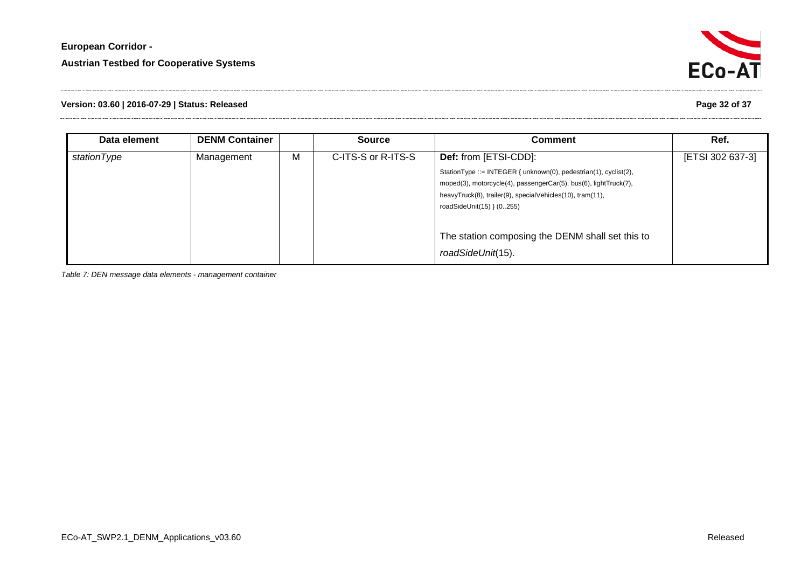

# **Version: 03.60 | 2016-07-29 | Status: Released Page 32 of 37**

| Data element | <b>DENM Container</b> |   | <b>Source</b>      | <b>Comment</b>                                                                                                                                                                                                                 | Ref.             |
|--------------|-----------------------|---|--------------------|--------------------------------------------------------------------------------------------------------------------------------------------------------------------------------------------------------------------------------|------------------|
| stationType  | Management            | M | C-ITS-S or R-ITS-S | <b>Def:</b> from [ETSI-CDD]:                                                                                                                                                                                                   | [ETSI 302 637-3] |
|              |                       |   |                    | StationType ::= INTEGER { unknown(0), pedestrian(1), cyclist(2),<br>moped(3), motorcycle(4), passengerCar(5), bus(6), lightTruck(7),<br>heavyTruck(8), trailer(9), specialVehicles(10), tram(11),<br>roadSideUnit(15) } (0255) |                  |
|              |                       |   |                    | The station composing the DENM shall set this to<br>roadSideUnit(15).                                                                                                                                                          |                  |

<span id="page-31-0"></span>*Table 7: DEN message data elements - management container*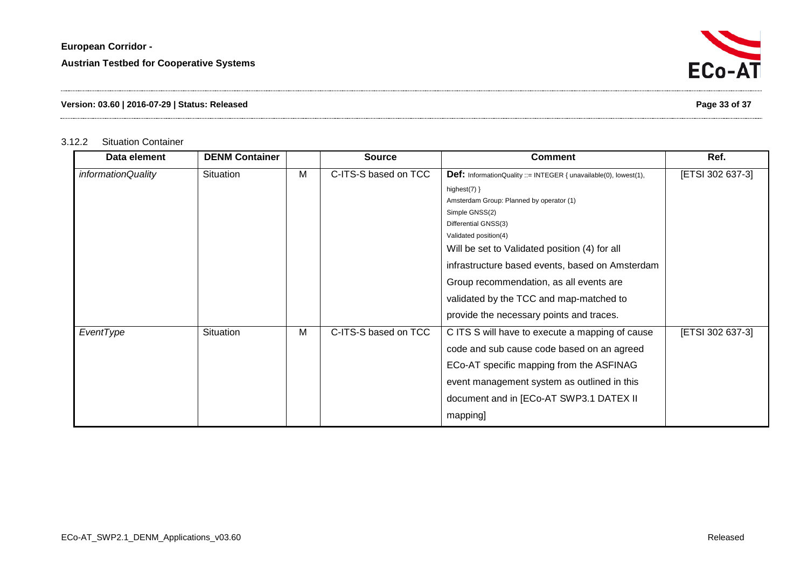# **Version: 03.60 | 2016-07-29 | Status: Released Page 33 of 37**

# 3.12.2 Situation Container

<span id="page-32-0"></span>

| Data element       | <b>DENM Container</b> |   | <b>Source</b>        | <b>Comment</b>                                                          | Ref.             |
|--------------------|-----------------------|---|----------------------|-------------------------------------------------------------------------|------------------|
| informationQuality | Situation             | M | C-ITS-S based on TCC | <b>Def:</b> InformationQuality ::= INTEGER { unavailable(0), lowest(1), | [ETSI 302 637-3] |
|                    |                       |   |                      | highest $(7)$ }                                                         |                  |
|                    |                       |   |                      | Amsterdam Group: Planned by operator (1)                                |                  |
|                    |                       |   |                      | Simple GNSS(2)                                                          |                  |
|                    |                       |   |                      | Differential GNSS(3)                                                    |                  |
|                    |                       |   |                      | Validated position(4)                                                   |                  |
|                    |                       |   |                      | Will be set to Validated position (4) for all                           |                  |
|                    |                       |   |                      | infrastructure based events, based on Amsterdam                         |                  |
|                    |                       |   |                      | Group recommendation, as all events are                                 |                  |
|                    |                       |   |                      | validated by the TCC and map-matched to                                 |                  |
|                    |                       |   |                      | provide the necessary points and traces.                                |                  |
| EventType          | Situation             | м | C-ITS-S based on TCC | C ITS S will have to execute a mapping of cause                         | [ETSI 302 637-3] |
|                    |                       |   |                      | code and sub cause code based on an agreed                              |                  |
|                    |                       |   |                      | ECo-AT specific mapping from the ASFINAG                                |                  |
|                    |                       |   |                      | event management system as outlined in this                             |                  |
|                    |                       |   |                      | document and in [ECo-AT SWP3.1 DATEX II                                 |                  |
|                    |                       |   |                      | mapping]                                                                |                  |

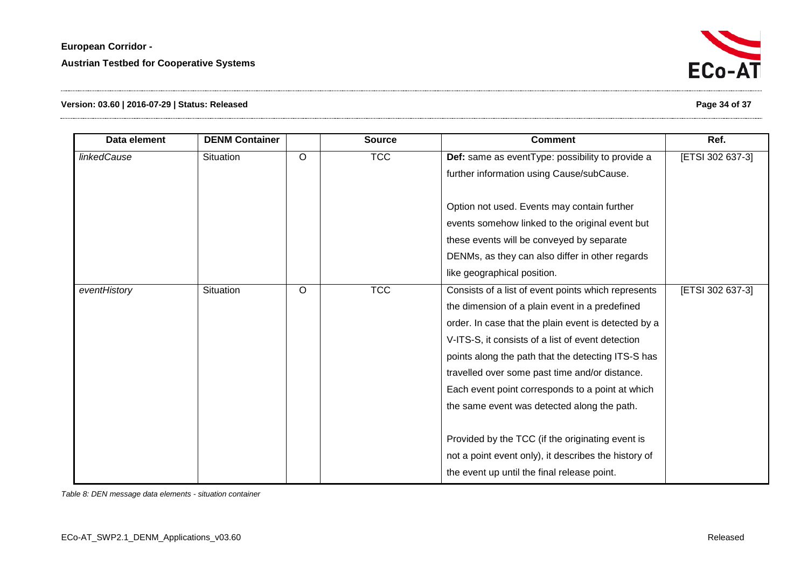

# **Version: 03.60 | 2016-07-29 | Status: Released Page 34 of 37**

| Data element | <b>DENM Container</b> |         | <b>Source</b> | <b>Comment</b>                                       | Ref.             |
|--------------|-----------------------|---------|---------------|------------------------------------------------------|------------------|
| linkedCause  | Situation             | $\circ$ | <b>TCC</b>    | Def: same as eventType: possibility to provide a     | [ETSI 302 637-3] |
|              |                       |         |               | further information using Cause/subCause.            |                  |
|              |                       |         |               |                                                      |                  |
|              |                       |         |               | Option not used. Events may contain further          |                  |
|              |                       |         |               | events somehow linked to the original event but      |                  |
|              |                       |         |               | these events will be conveyed by separate            |                  |
|              |                       |         |               | DENMs, as they can also differ in other regards      |                  |
|              |                       |         |               | like geographical position.                          |                  |
| eventHistory | <b>Situation</b>      | $\circ$ | <b>TCC</b>    | Consists of a list of event points which represents  | [ETSI 302 637-3] |
|              |                       |         |               | the dimension of a plain event in a predefined       |                  |
|              |                       |         |               | order. In case that the plain event is detected by a |                  |
|              |                       |         |               | V-ITS-S, it consists of a list of event detection    |                  |
|              |                       |         |               | points along the path that the detecting ITS-S has   |                  |
|              |                       |         |               | travelled over some past time and/or distance.       |                  |
|              |                       |         |               | Each event point corresponds to a point at which     |                  |
|              |                       |         |               | the same event was detected along the path.          |                  |
|              |                       |         |               |                                                      |                  |
|              |                       |         |               | Provided by the TCC (if the originating event is     |                  |
|              |                       |         |               | not a point event only), it describes the history of |                  |
|              |                       |         |               | the event up until the final release point.          |                  |

<span id="page-33-0"></span>*Table 8: DEN message data elements - situation container*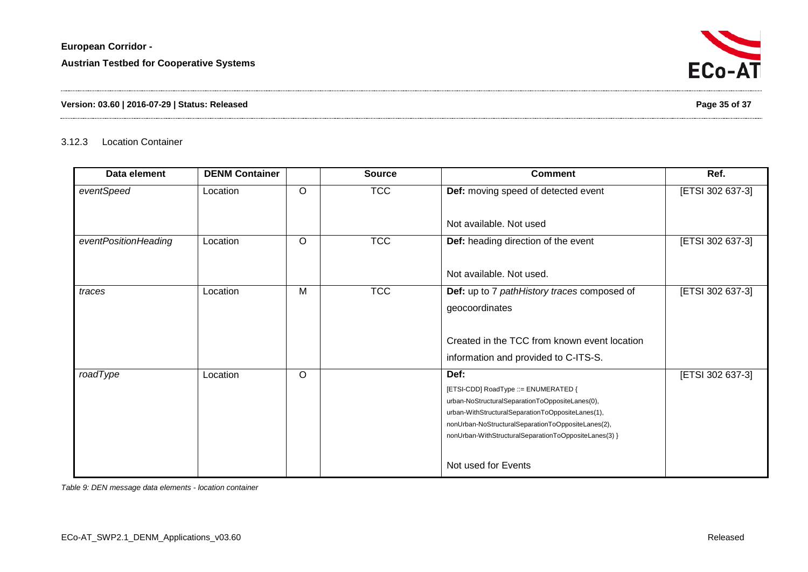## **Version: 03.60 | 2016-07-29 | Status: Released Page 35 of 37**

## 3.12.3 Location Container

| Data element         | <b>DENM Container</b> |         | <b>Source</b> | <b>Comment</b>                                                                                                                                                                                                                                                      | Ref.             |
|----------------------|-----------------------|---------|---------------|---------------------------------------------------------------------------------------------------------------------------------------------------------------------------------------------------------------------------------------------------------------------|------------------|
| eventSpeed           | Location              | $\circ$ | <b>TCC</b>    | Def: moving speed of detected event                                                                                                                                                                                                                                 | [ETSI 302 637-3] |
|                      |                       |         |               | Not available. Not used                                                                                                                                                                                                                                             |                  |
| eventPositionHeading | Location              | $\circ$ | <b>TCC</b>    | Def: heading direction of the event                                                                                                                                                                                                                                 | [ETSI 302 637-3] |
|                      |                       |         |               | Not available. Not used.                                                                                                                                                                                                                                            |                  |
| traces               | Location              | M       | <b>TCC</b>    | Def: up to 7 pathHistory traces composed of<br>geocoordinates                                                                                                                                                                                                       | [ETSI 302 637-3] |
|                      |                       |         |               | Created in the TCC from known event location<br>information and provided to C-ITS-S.                                                                                                                                                                                |                  |
| roadType             | Location              | $\circ$ |               | Def:<br>[ETSI-CDD] RoadType ::= ENUMERATED {<br>urban-NoStructuralSeparationToOppositeLanes(0),<br>urban-WithStructuralSeparationToOppositeLanes(1),<br>nonUrban-NoStructuralSeparationToOppositeLanes(2),<br>nonUrban-WithStructuralSeparationToOppositeLanes(3) } | [ETSI 302 637-3] |
|                      |                       |         |               | Not used for Events                                                                                                                                                                                                                                                 |                  |

<span id="page-34-1"></span><span id="page-34-0"></span>*Table 9: DEN message data elements - location container*

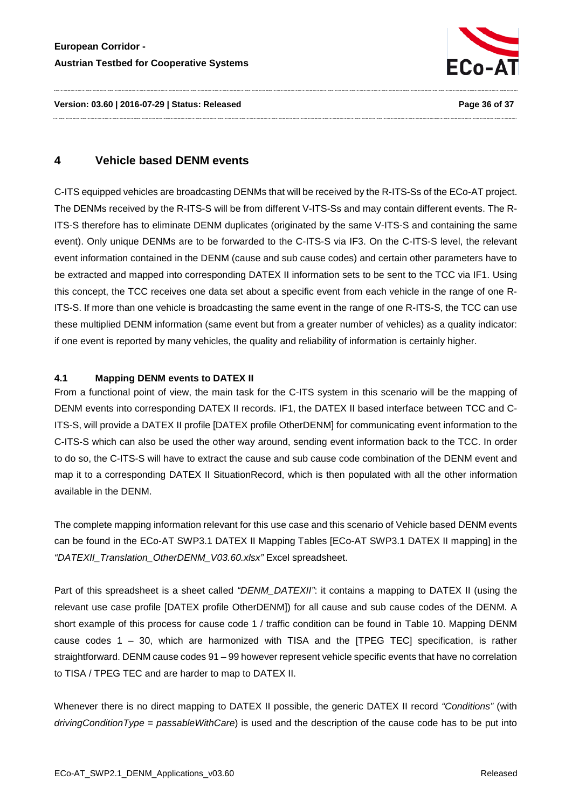

**Version: 03.60 | 2016-07-29 | Status: Released Page 36 of 37**

# <span id="page-35-0"></span>**4 Vehicle based DENM events**

C-ITS equipped vehicles are broadcasting DENMs that will be received by the R-ITS-Ss of the ECo-AT project. The DENMs received by the R-ITS-S will be from different V-ITS-Ss and may contain different events. The R-ITS-S therefore has to eliminate DENM duplicates (originated by the same V-ITS-S and containing the same event). Only unique DENMs are to be forwarded to the C-ITS-S via IF3. On the C-ITS-S level, the relevant event information contained in the DENM (cause and sub cause codes) and certain other parameters have to be extracted and mapped into corresponding DATEX II information sets to be sent to the TCC via IF1. Using this concept, the TCC receives one data set about a specific event from each vehicle in the range of one R-ITS-S. If more than one vehicle is broadcasting the same event in the range of one R-ITS-S, the TCC can use these multiplied DENM information (same event but from a greater number of vehicles) as a quality indicator: if one event is reported by many vehicles, the quality and reliability of information is certainly higher.

#### <span id="page-35-1"></span>**4.1 Mapping DENM events to DATEX II**

From a functional point of view, the main task for the C-ITS system in this scenario will be the mapping of DENM events into corresponding DATEX II records. IF1, the DATEX II based interface between TCC and C-ITS-S, will provide a DATEX II profile [DATEX profile OtherDENM] for communicating event information to the C-ITS-S which can also be used the other way around, sending event information back to the TCC. In order to do so, the C-ITS-S will have to extract the cause and sub cause code combination of the DENM event and map it to a corresponding DATEX II SituationRecord, which is then populated with all the other information available in the DENM.

The complete mapping information relevant for this use case and this scenario of Vehicle based DENM events can be found in the ECo-AT SWP3.1 DATEX II Mapping Tables [ECo-AT SWP3.1 DATEX II mapping] in the *"DATEXII\_Translation\_OtherDENM\_V03.60.xlsx"* Excel spreadsheet.

Part of this spreadsheet is a sheet called *"DENM\_DATEXII"*: it contains a mapping to DATEX II (using the relevant use case profile [DATEX profile OtherDENM]) for all cause and sub cause codes of the DENM. A short example of this process for cause code 1 / traffic condition can be found in [Table 10.](#page-36-0) Mapping DENM cause codes 1 – 30, which are harmonized with TISA and the [TPEG TEC] specification, is rather straightforward. DENM cause codes 91 – 99 however represent vehicle specific events that have no correlation to TISA / TPEG TEC and are harder to map to DATEX II.

Whenever there is no direct mapping to DATEX II possible, the generic DATEX II record *"Conditions"* (with *drivingConditionType* = *passableWithCare*) is used and the description of the cause code has to be put into